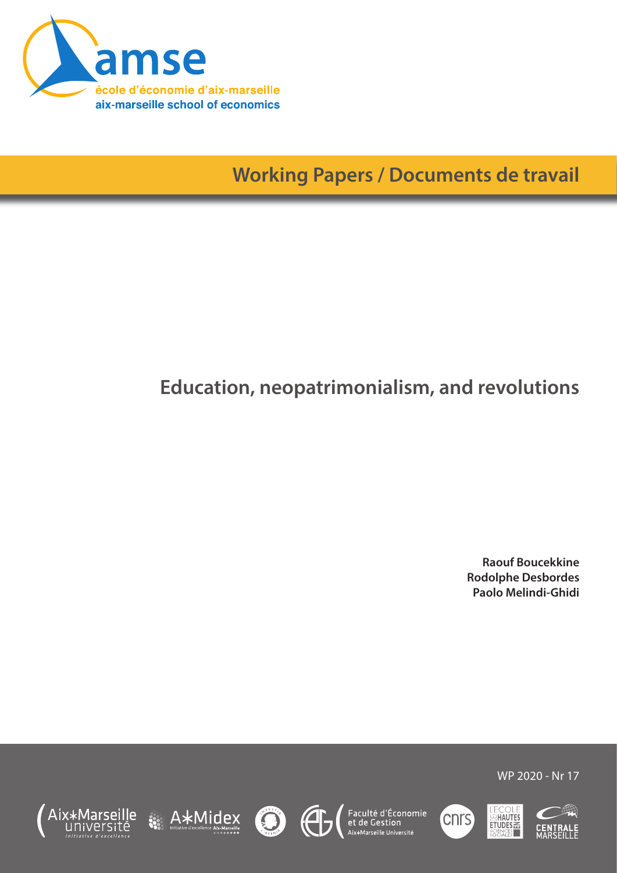

**Working Papers / Documents de travail**

# **Education, neopatrimonialism, and revolutions**

**Raouf Boucekkine Rodolphe Desbordes Paolo Melindi-Ghidi**













WP 2020 - Nr 17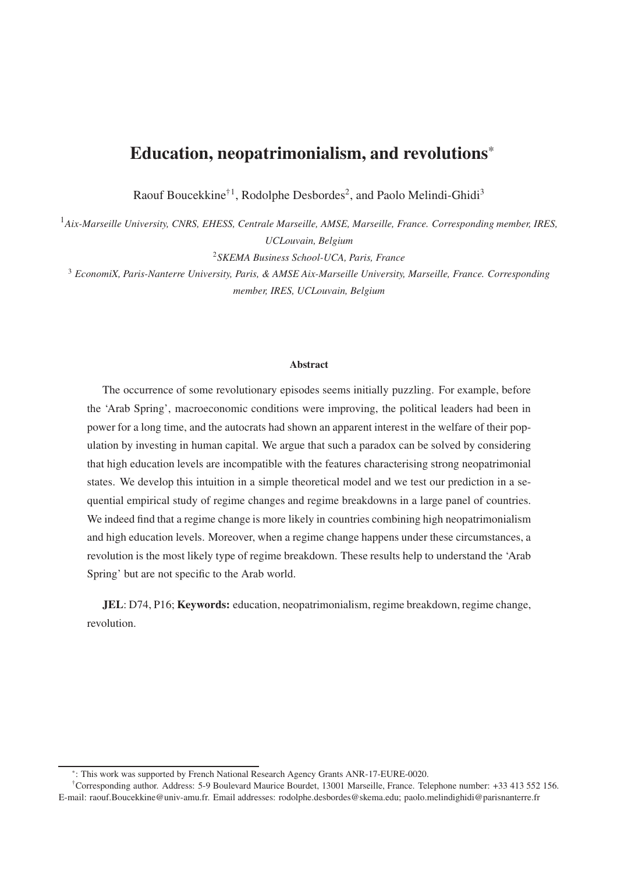# **Education, neopatrimonialism, and revolutions**\*

Raouf Boucekkine<sup>†1</sup>, Rodolphe Desbordes<sup>2</sup>, and Paolo Melindi-Ghidi<sup>3</sup>

<sup>1</sup>*Aix-Marseille University, CNRS, EHESS, Centrale Marseille, AMSE, Marseille, France. Corresponding member, IRES, UCLouvain, Belgium*

<sup>2</sup>*SKEMA Business School-UCA, Paris, France*

<sup>3</sup> *EconomiX, Paris-Nanterre University, Paris, & AMSE Aix-Marseille University, Marseille, France. Corresponding member, IRES, UCLouvain, Belgium*

#### **Abstract**

The occurrence of some revolutionary episodes seems initially puzzling. For example, before the 'Arab Spring', macroeconomic conditions were improving, the political leaders had been in power for a long time, and the autocrats had shown an apparent interest in the welfare of their population by investing in human capital. We argue that such a paradox can be solved by considering that high education levels are incompatible with the features characterising strong neopatrimonial states. We develop this intuition in a simple theoretical model and we test our prediction in a sequential empirical study of regime changes and regime breakdowns in a large panel of countries. We indeed find that a regime change is more likely in countries combining high neopatrimonialism and high education levels. Moreover, when a regime change happens under these circumstances, a revolution is the most likely type of regime breakdown. These results help to understand the 'Arab Spring' but are not specific to the Arab world.

**JEL**: D74, P16; **Keywords:** education, neopatrimonialism, regime breakdown, regime change, revolution.

<sup>\*</sup> : This work was supported by French National Research Agency Grants ANR-17-EURE-0020.

<sup>†</sup>Corresponding author. Address: 5-9 Boulevard Maurice Bourdet, 13001 Marseille, France. Telephone number: +33 413 552 156. E-mail: raouf.Boucekkine@univ-amu.fr. Email addresses: rodolphe.desbordes@skema.edu; paolo.melindighidi@parisnanterre.fr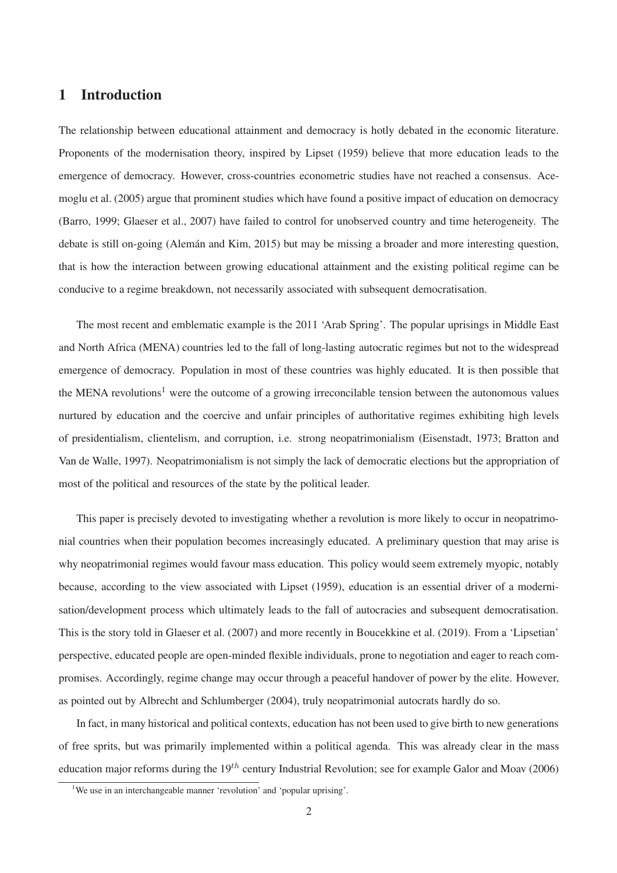# **1 Introduction**

The relationship between educational attainment and democracy is hotly debated in the economic literature. Proponents of the modernisation theory, inspired by Lipset (1959) believe that more education leads to the emergence of democracy. However, cross-countries econometric studies have not reached a consensus. Acemoglu et al. (2005) argue that prominent studies which have found a positive impact of education on democracy (Barro, 1999; Glaeser et al., 2007) have failed to control for unobserved country and time heterogeneity. The debate is still on-going (Alemán and Kim, 2015) but may be missing a broader and more interesting question, that is how the interaction between growing educational attainment and the existing political regime can be conducive to a regime breakdown, not necessarily associated with subsequent democratisation.

The most recent and emblematic example is the 2011 'Arab Spring'. The popular uprisings in Middle East and North Africa (MENA) countries led to the fall of long-lasting autocratic regimes but not to the widespread emergence of democracy. Population in most of these countries was highly educated. It is then possible that the MENA revolutions<sup>1</sup> were the outcome of a growing irreconcilable tension between the autonomous values nurtured by education and the coercive and unfair principles of authoritative regimes exhibiting high levels of presidentialism, clientelism, and corruption, i.e. strong neopatrimonialism (Eisenstadt, 1973; Bratton and Van de Walle, 1997). Neopatrimonialism is not simply the lack of democratic elections but the appropriation of most of the political and resources of the state by the political leader.

This paper is precisely devoted to investigating whether a revolution is more likely to occur in neopatrimonial countries when their population becomes increasingly educated. A preliminary question that may arise is why neopatrimonial regimes would favour mass education. This policy would seem extremely myopic, notably because, according to the view associated with Lipset (1959), education is an essential driver of a modernisation/development process which ultimately leads to the fall of autocracies and subsequent democratisation. This is the story told in Glaeser et al. (2007) and more recently in Boucekkine et al. (2019). From a 'Lipsetian' perspective, educated people are open-minded flexible individuals, prone to negotiation and eager to reach compromises. Accordingly, regime change may occur through a peaceful handover of power by the elite. However, as pointed out by Albrecht and Schlumberger (2004), truly neopatrimonial autocrats hardly do so.

In fact, in many historical and political contexts, education has not been used to give birth to new generations of free sprits, but was primarily implemented within a political agenda. This was already clear in the mass education major reforms during the  $19^{th}$  century Industrial Revolution; see for example Galor and Moav (2006)

<sup>&</sup>lt;sup>1</sup>We use in an interchangeable manner 'revolution' and 'popular uprising'.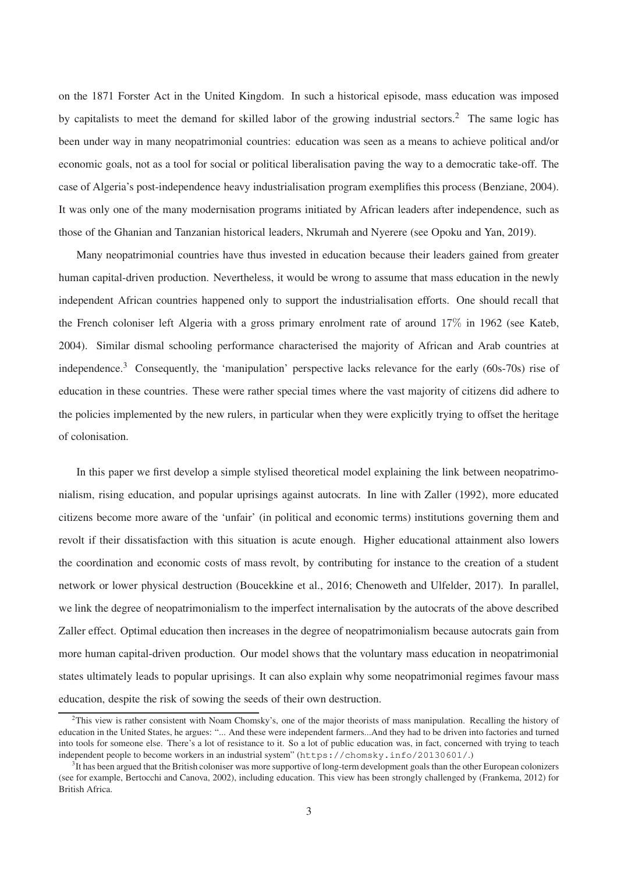on the 1871 Forster Act in the United Kingdom. In such a historical episode, mass education was imposed by capitalists to meet the demand for skilled labor of the growing industrial sectors.<sup>2</sup> The same logic has been under way in many neopatrimonial countries: education was seen as a means to achieve political and/or economic goals, not as a tool for social or political liberalisation paving the way to a democratic take-off. The case of Algeria's post-independence heavy industrialisation program exemplifies this process (Benziane, 2004). It was only one of the many modernisation programs initiated by African leaders after independence, such as those of the Ghanian and Tanzanian historical leaders, Nkrumah and Nyerere (see Opoku and Yan, 2019).

Many neopatrimonial countries have thus invested in education because their leaders gained from greater human capital-driven production. Nevertheless, it would be wrong to assume that mass education in the newly independent African countries happened only to support the industrialisation efforts. One should recall that the French coloniser left Algeria with a gross primary enrolment rate of around 17% in 1962 (see Kateb, 2004). Similar dismal schooling performance characterised the majority of African and Arab countries at independence.<sup>3</sup> Consequently, the 'manipulation' perspective lacks relevance for the early (60s-70s) rise of education in these countries. These were rather special times where the vast majority of citizens did adhere to the policies implemented by the new rulers, in particular when they were explicitly trying to offset the heritage of colonisation.

In this paper we first develop a simple stylised theoretical model explaining the link between neopatrimonialism, rising education, and popular uprisings against autocrats. In line with Zaller (1992), more educated citizens become more aware of the 'unfair' (in political and economic terms) institutions governing them and revolt if their dissatisfaction with this situation is acute enough. Higher educational attainment also lowers the coordination and economic costs of mass revolt, by contributing for instance to the creation of a student network or lower physical destruction (Boucekkine et al., 2016; Chenoweth and Ulfelder, 2017). In parallel, we link the degree of neopatrimonialism to the imperfect internalisation by the autocrats of the above described Zaller effect. Optimal education then increases in the degree of neopatrimonialism because autocrats gain from more human capital-driven production. Our model shows that the voluntary mass education in neopatrimonial states ultimately leads to popular uprisings. It can also explain why some neopatrimonial regimes favour mass education, despite the risk of sowing the seeds of their own destruction.

 $2$ This view is rather consistent with Noam Chomsky's, one of the major theorists of mass manipulation. Recalling the history of education in the United States, he argues: "... And these were independent farmers...And they had to be driven into factories and turned into tools for someone else. There's a lot of resistance to it. So a lot of public education was, in fact, concerned with trying to teach independent people to become workers in an industrial system" (https://chomsky.info/20130601/.)

 ${}^{3}$ It has been argued that the British coloniser was more supportive of long-term development goals than the other European colonizers (see for example, Bertocchi and Canova, 2002), including education. This view has been strongly challenged by (Frankema, 2012) for British Africa.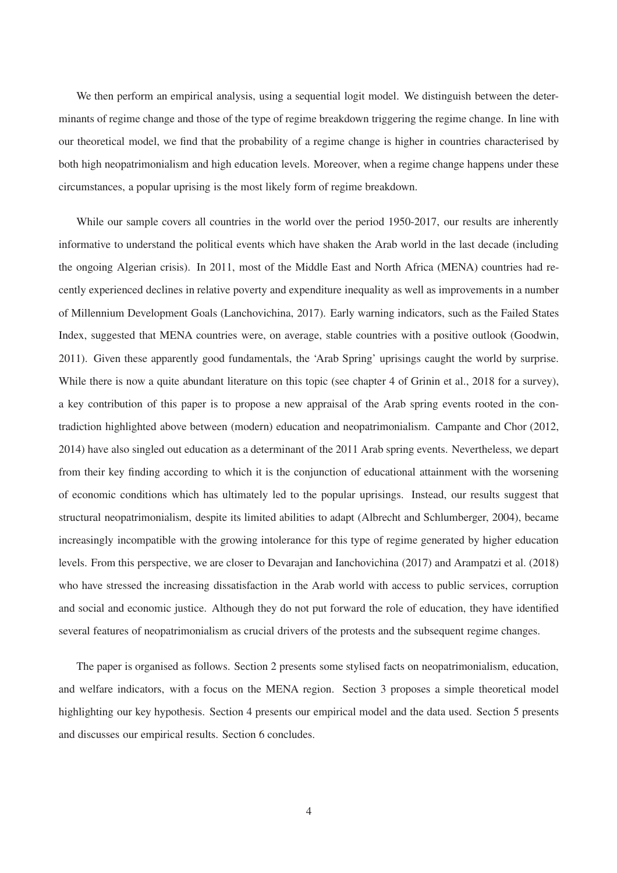We then perform an empirical analysis, using a sequential logit model. We distinguish between the determinants of regime change and those of the type of regime breakdown triggering the regime change. In line with our theoretical model, we find that the probability of a regime change is higher in countries characterised by both high neopatrimonialism and high education levels. Moreover, when a regime change happens under these circumstances, a popular uprising is the most likely form of regime breakdown.

While our sample covers all countries in the world over the period 1950-2017, our results are inherently informative to understand the political events which have shaken the Arab world in the last decade (including the ongoing Algerian crisis). In 2011, most of the Middle East and North Africa (MENA) countries had recently experienced declines in relative poverty and expenditure inequality as well as improvements in a number of Millennium Development Goals (Lanchovichina, 2017). Early warning indicators, such as the Failed States Index, suggested that MENA countries were, on average, stable countries with a positive outlook (Goodwin, 2011). Given these apparently good fundamentals, the 'Arab Spring' uprisings caught the world by surprise. While there is now a quite abundant literature on this topic (see chapter 4 of Grinin et al., 2018 for a survey), a key contribution of this paper is to propose a new appraisal of the Arab spring events rooted in the contradiction highlighted above between (modern) education and neopatrimonialism. Campante and Chor (2012, 2014) have also singled out education as a determinant of the 2011 Arab spring events. Nevertheless, we depart from their key finding according to which it is the conjunction of educational attainment with the worsening of economic conditions which has ultimately led to the popular uprisings. Instead, our results suggest that structural neopatrimonialism, despite its limited abilities to adapt (Albrecht and Schlumberger, 2004), became increasingly incompatible with the growing intolerance for this type of regime generated by higher education levels. From this perspective, we are closer to Devarajan and Ianchovichina (2017) and Arampatzi et al. (2018) who have stressed the increasing dissatisfaction in the Arab world with access to public services, corruption and social and economic justice. Although they do not put forward the role of education, they have identified several features of neopatrimonialism as crucial drivers of the protests and the subsequent regime changes.

The paper is organised as follows. Section 2 presents some stylised facts on neopatrimonialism, education, and welfare indicators, with a focus on the MENA region. Section 3 proposes a simple theoretical model highlighting our key hypothesis. Section 4 presents our empirical model and the data used. Section 5 presents and discusses our empirical results. Section 6 concludes.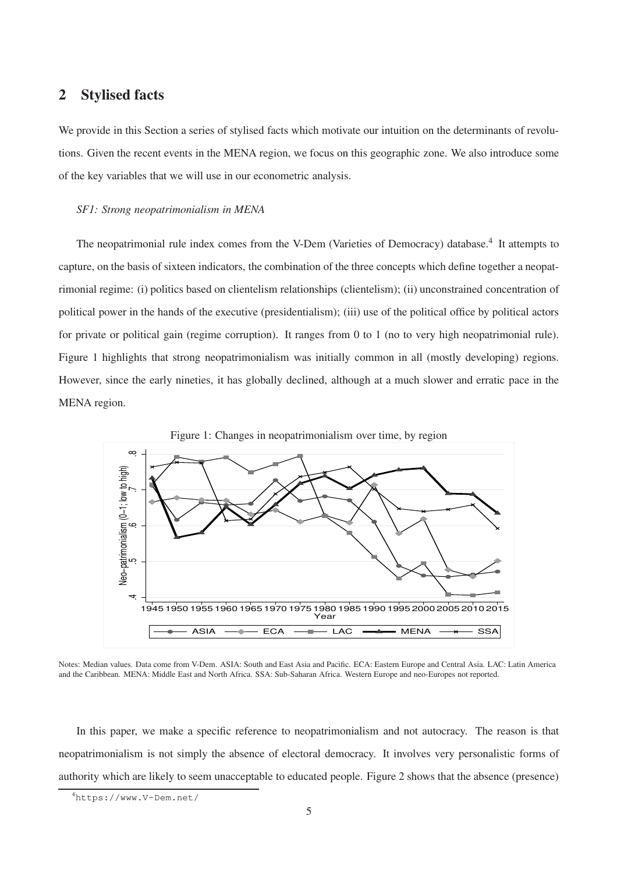# **2 Stylised facts**

We provide in this Section a series of stylised facts which motivate our intuition on the determinants of revolutions. Given the recent events in the MENA region, we focus on this geographic zone. We also introduce some of the key variables that we will use in our econometric analysis.

#### *SF1: Strong neopatrimonialism in MENA*

The neopatrimonial rule index comes from the V-Dem (Varieties of Democracy) database.<sup>4</sup> It attempts to capture, on the basis of sixteen indicators, the combination of the three concepts which define together a neopatrimonial regime: (i) politics based on clientelism relationships (clientelism); (ii) unconstrained concentration of political power in the hands of the executive (presidentialism); (iii) use of the political office by political actors for private or political gain (regime corruption). It ranges from 0 to 1 (no to very high neopatrimonial rule). Figure 1 highlights that strong neopatrimonialism was initially common in all (mostly developing) regions. However, since the early nineties, it has globally declined, although at a much slower and erratic pace in the MENA region.



Notes: Median values. Data come from V-Dem. ASIA: South and East Asia and Pacific. ECA: Eastern Europe and Central Asia. LAC: Latin America and the Caribbean. MENA: Middle East and North Africa. SSA: Sub-Saharan Africa. Western Europe and neo-Europes not reported.

In this paper, we make a specific reference to neopatrimonialism and not autocracy. The reason is that neopatrimonialism is not simply the absence of electoral democracy. It involves very personalistic forms of authority which are likely to seem unacceptable to educated people. Figure 2 shows that the absence (presence)

<sup>4</sup>https://www.V-Dem.net/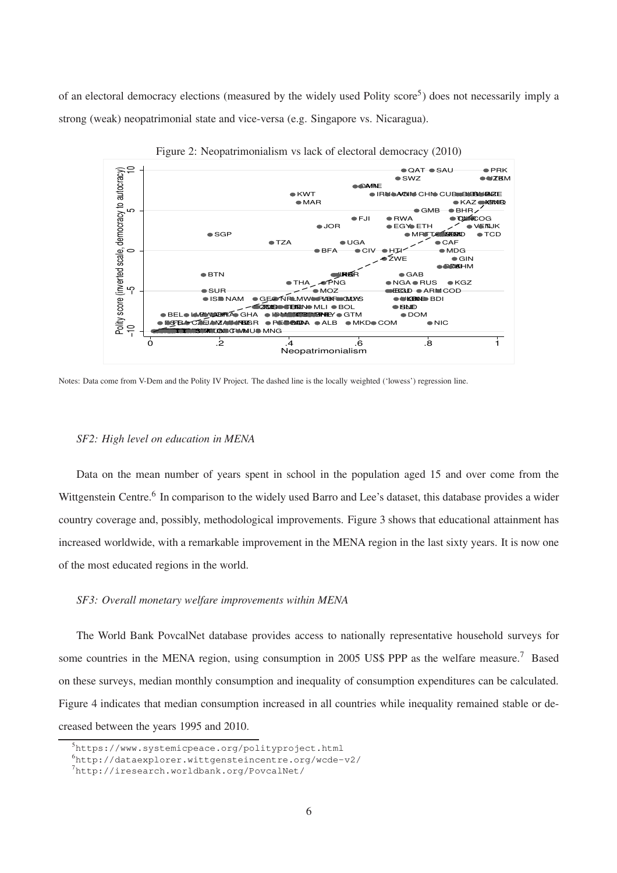of an electoral democracy elections (measured by the widely used Polity score<sup>5</sup>) does not necessarily imply a strong (weak) neopatrimonial state and vice-versa (e.g. Singapore vs. Nicaragua).



Figure 2: Neopatrimonialism vs lack of electoral democracy (2010)

Notes: Data come from V-Dem and the Polity IV Project. The dashed line is the locally weighted ('lowess') regression line.

#### *SF2: High level on education in MENA*

Data on the mean number of years spent in school in the population aged 15 and over come from the Wittgenstein Centre.<sup>6</sup> In comparison to the widely used Barro and Lee's dataset, this database provides a wider country coverage and, possibly, methodological improvements. Figure 3 shows that educational attainment has increased worldwide, with a remarkable improvement in the MENA region in the last sixty years. It is now one of the most educated regions in the world.

#### *SF3: Overall monetary welfare improvements within MENA*

The World Bank PovcalNet database provides access to nationally representative household surveys for some countries in the MENA region, using consumption in 2005 US\$ PPP as the welfare measure.<sup>7</sup> Based on these surveys, median monthly consumption and inequality of consumption expenditures can be calculated. Figure 4 indicates that median consumption increased in all countries while inequality remained stable or decreased between the years 1995 and 2010.

 $5$ https://www.systemicpeace.org/polityproject.html

 $^{6}$ http://dataexplorer.wittgensteincentre.org/wcde-v2/

<sup>7</sup>http://iresearch.worldbank.org/PovcalNet/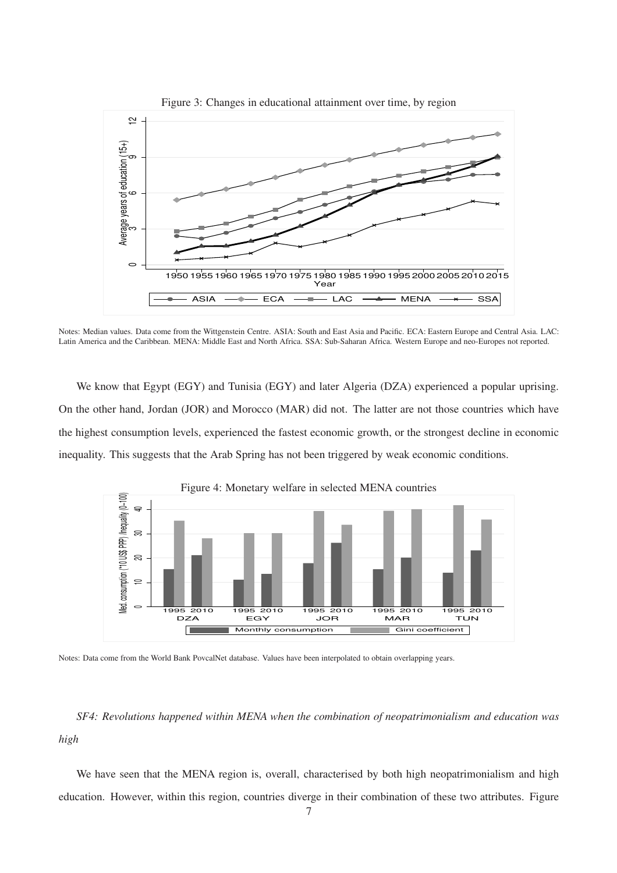

Figure 3: Changes in educational attainment over time, by region

Notes: Median values. Data come from the Wittgenstein Centre. ASIA: South and East Asia and Pacific. ECA: Eastern Europe and Central Asia. LAC: Latin America and the Caribbean. MENA: Middle East and North Africa. SSA: Sub-Saharan Africa. Western Europe and neo-Europes not reported.

We know that Egypt (EGY) and Tunisia (EGY) and later Algeria (DZA) experienced a popular uprising. On the other hand, Jordan (JOR) and Morocco (MAR) did not. The latter are not those countries which have the highest consumption levels, experienced the fastest economic growth, or the strongest decline in economic inequality. This suggests that the Arab Spring has not been triggered by weak economic conditions.



Figure 4: Monetary welfare in selected MENA countries

Notes: Data come from the World Bank PovcalNet database. Values have been interpolated to obtain overlapping years.

*SF4: Revolutions happened within MENA when the combination of neopatrimonialism and education was high*

We have seen that the MENA region is, overall, characterised by both high neopatrimonialism and high education. However, within this region, countries diverge in their combination of these two attributes. Figure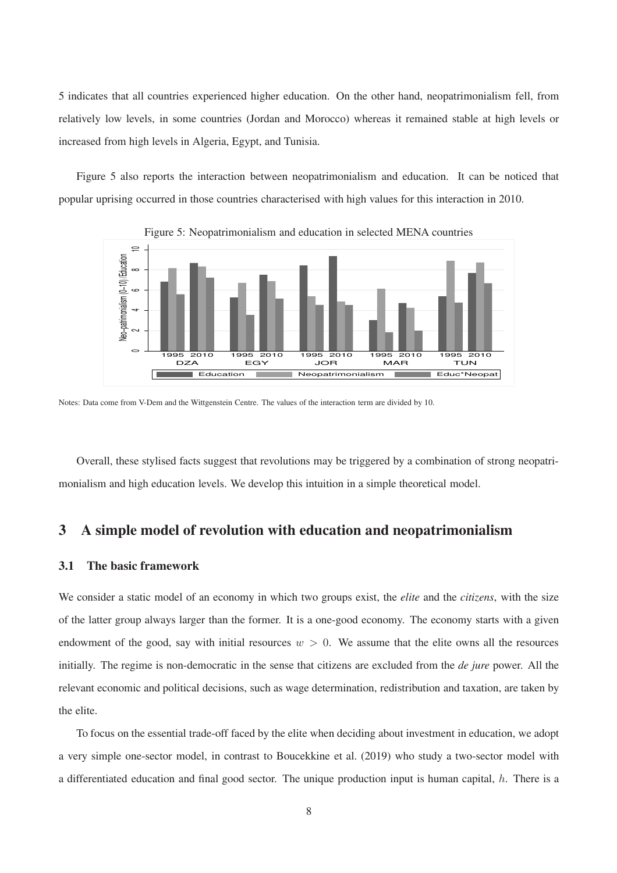5 indicates that all countries experienced higher education. On the other hand, neopatrimonialism fell, from relatively low levels, in some countries (Jordan and Morocco) whereas it remained stable at high levels or increased from high levels in Algeria, Egypt, and Tunisia.

Figure 5 also reports the interaction between neopatrimonialism and education. It can be noticed that popular uprising occurred in those countries characterised with high values for this interaction in 2010.



Figure 5: Neopatrimonialism and education in selected MENA countries

Notes: Data come from V-Dem and the Wittgenstein Centre. The values of the interaction term are divided by 10.

Overall, these stylised facts suggest that revolutions may be triggered by a combination of strong neopatrimonialism and high education levels. We develop this intuition in a simple theoretical model.

# **3 A simple model of revolution with education and neopatrimonialism**

## **3.1 The basic framework**

We consider a static model of an economy in which two groups exist, the *elite* and the *citizens*, with the size of the latter group always larger than the former. It is a one-good economy. The economy starts with a given endowment of the good, say with initial resources  $w > 0$ . We assume that the elite owns all the resources initially. The regime is non-democratic in the sense that citizens are excluded from the *de jure* power. All the relevant economic and political decisions, such as wage determination, redistribution and taxation, are taken by the elite.

To focus on the essential trade-off faced by the elite when deciding about investment in education, we adopt a very simple one-sector model, in contrast to Boucekkine et al. (2019) who study a two-sector model with a differentiated education and final good sector. The unique production input is human capital,  $h$ . There is a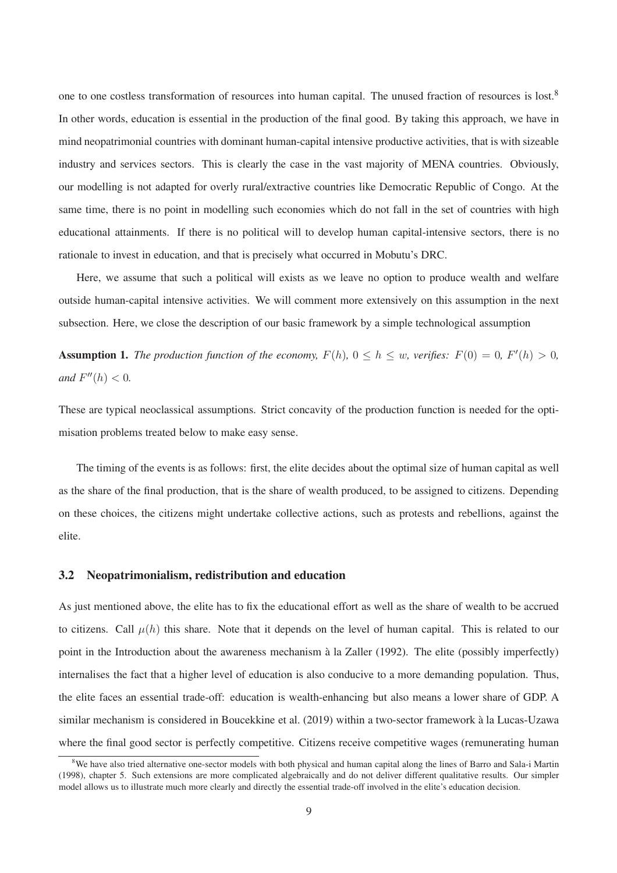one to one costless transformation of resources into human capital. The unused fraction of resources is lost.<sup>8</sup> In other words, education is essential in the production of the final good. By taking this approach, we have in mind neopatrimonial countries with dominant human-capital intensive productive activities, that is with sizeable industry and services sectors. This is clearly the case in the vast majority of MENA countries. Obviously, our modelling is not adapted for overly rural/extractive countries like Democratic Republic of Congo. At the same time, there is no point in modelling such economies which do not fall in the set of countries with high educational attainments. If there is no political will to develop human capital-intensive sectors, there is no rationale to invest in education, and that is precisely what occurred in Mobutu's DRC.

Here, we assume that such a political will exists as we leave no option to produce wealth and welfare outside human-capital intensive activities. We will comment more extensively on this assumption in the next subsection. Here, we close the description of our basic framework by a simple technological assumption

**Assumption 1.** *The production function of the economy,*  $F(h)$ ,  $0 \le h \le w$ , verifies:  $F(0) = 0$ ,  $F'(h) > 0$ , *and*  $F''(h) < 0$ .

These are typical neoclassical assumptions. Strict concavity of the production function is needed for the optimisation problems treated below to make easy sense.

The timing of the events is as follows: first, the elite decides about the optimal size of human capital as well as the share of the final production, that is the share of wealth produced, to be assigned to citizens. Depending on these choices, the citizens might undertake collective actions, such as protests and rebellions, against the elite.

#### **3.2 Neopatrimonialism, redistribution and education**

As just mentioned above, the elite has to fix the educational effort as well as the share of wealth to be accrued to citizens. Call  $\mu(h)$  this share. Note that it depends on the level of human capital. This is related to our point in the Introduction about the awareness mechanism à la Zaller (1992). The elite (possibly imperfectly) internalises the fact that a higher level of education is also conducive to a more demanding population. Thus, the elite faces an essential trade-off: education is wealth-enhancing but also means a lower share of GDP. A similar mechanism is considered in Boucekkine et al. (2019) within a two-sector framework à la Lucas-Uzawa where the final good sector is perfectly competitive. Citizens receive competitive wages (remunerating human

<sup>&</sup>lt;sup>8</sup>We have also tried alternative one-sector models with both physical and human capital along the lines of Barro and Sala-i Martin (1998), chapter 5. Such extensions are more complicated algebraically and do not deliver different qualitative results. Our simpler model allows us to illustrate much more clearly and directly the essential trade-off involved in the elite's education decision.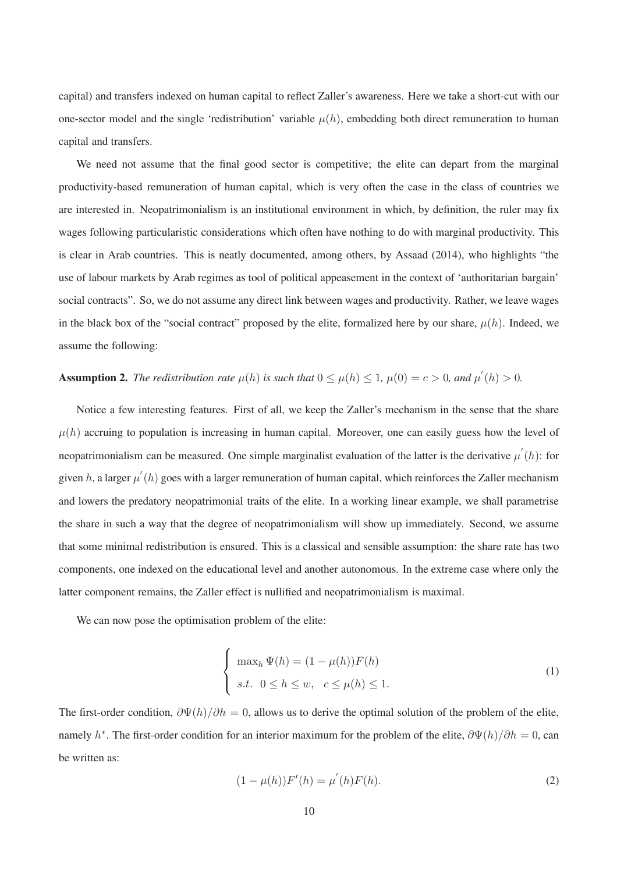capital) and transfers indexed on human capital to reflect Zaller's awareness. Here we take a short-cut with our one-sector model and the single 'redistribution' variable  $\mu(h)$ , embedding both direct remuneration to human capital and transfers.

We need not assume that the final good sector is competitive; the elite can depart from the marginal productivity-based remuneration of human capital, which is very often the case in the class of countries we are interested in. Neopatrimonialism is an institutional environment in which, by definition, the ruler may fix wages following particularistic considerations which often have nothing to do with marginal productivity. This is clear in Arab countries. This is neatly documented, among others, by Assaad (2014), who highlights "the use of labour markets by Arab regimes as tool of political appeasement in the context of 'authoritarian bargain' social contracts". So, we do not assume any direct link between wages and productivity. Rather, we leave wages in the black box of the "social contract" proposed by the elite, formalized here by our share,  $\mu(h)$ . Indeed, we assume the following:

# **Assumption 2.** *The redistribution rate*  $\mu(h)$  *is such that*  $0 \leq \mu(h) \leq 1$ ,  $\mu(0) = c > 0$ , and  $\mu'(h) > 0$ .

Notice a few interesting features. First of all, we keep the Zaller's mechanism in the sense that the share  $\mu(h)$  accruing to population is increasing in human capital. Moreover, one can easily guess how the level of neopatrimonialism can be measured. One simple marginalist evaluation of the latter is the derivative  $\mu'(h)$ : for given h, a larger  $\mu'(h)$  goes with a larger remuneration of human capital, which reinforces the Zaller mechanism and lowers the predatory neopatrimonial traits of the elite. In a working linear example, we shall parametrise the share in such a way that the degree of neopatrimonialism will show up immediately. Second, we assume that some minimal redistribution is ensured. This is a classical and sensible assumption: the share rate has two components, one indexed on the educational level and another autonomous. In the extreme case where only the latter component remains, the Zaller effect is nullified and neopatrimonialism is maximal.

We can now pose the optimisation problem of the elite:

$$
\begin{cases}\n\max_h \Psi(h) = (1 - \mu(h))F(h) \\
s.t. \quad 0 \le h \le w, \quad c \le \mu(h) \le 1.\n\end{cases}
$$
\n(1)

The first-order condition,  $\frac{\partial \Psi(h)}{\partial h} = 0$ , allows us to derive the optimal solution of the problem of the elite, namely  $h^*$ . The first-order condition for an interior maximum for the problem of the elite,  $\frac{\partial \Psi(h)}{\partial h} = 0$ , can be written as:

$$
(1 - \mu(h))F'(h) = \mu^{'}(h)F(h).
$$
\n(2)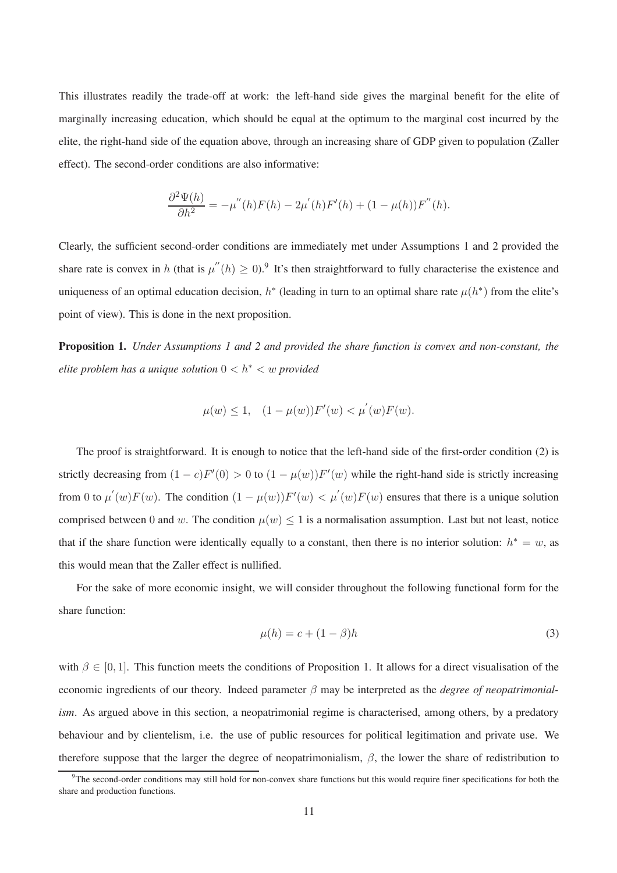This illustrates readily the trade-off at work: the left-hand side gives the marginal benefit for the elite of marginally increasing education, which should be equal at the optimum to the marginal cost incurred by the elite, the right-hand side of the equation above, through an increasing share of GDP given to population (Zaller effect). The second-order conditions are also informative:

$$
\frac{\partial^2 \Psi(h)}{\partial h^2} = -\mu''(h)F(h) - 2\mu'(h)F'(h) + (1 - \mu(h))F''(h).
$$

Clearly, the sufficient second-order conditions are immediately met under Assumptions 1 and 2 provided the share rate is convex in h (that is  $\mu''(h) \geq 0$ ).<sup>9</sup> It's then straightforward to fully characterise the existence and uniqueness of an optimal education decision,  $h^*$  (leading in turn to an optimal share rate  $\mu(h^*)$  from the elite's point of view). This is done in the next proposition.

**Proposition 1.** *Under Assumptions 1 and 2 and provided the share function is convex and non-constant, the elite problem has a unique solution* 0 < h<sup>∗</sup> < w *provided*

$$
\mu(w) \le 1, \quad (1 - \mu(w))F'(w) < \mu^{'}(w)F(w).
$$

The proof is straightforward. It is enough to notice that the left-hand side of the first-order condition (2) is strictly decreasing from  $(1 - c)F'(0) > 0$  to  $(1 - \mu(w))F'(w)$  while the right-hand side is strictly increasing from 0 to  $\mu'(w)F(w)$ . The condition  $(1 - \mu(w))F'(w) < \mu'(w)F(w)$  ensures that there is a unique solution comprised between 0 and w. The condition  $\mu(w) \leq 1$  is a normalisation assumption. Last but not least, notice that if the share function were identically equally to a constant, then there is no interior solution:  $h^* = w$ , as this would mean that the Zaller effect is nullified.

For the sake of more economic insight, we will consider throughout the following functional form for the share function:

$$
\mu(h) = c + (1 - \beta)h\tag{3}
$$

with  $\beta \in [0, 1]$ . This function meets the conditions of Proposition 1. It allows for a direct visualisation of the economic ingredients of our theory. Indeed parameter β may be interpreted as the *degree of neopatrimonialism.* As argued above in this section, a neopatrimonial regime is characterised, among others, by a predatory behaviour and by clientelism, i.e. the use of public resources for political legitimation and private use. We therefore suppose that the larger the degree of neopatrimonialism,  $\beta$ , the lower the share of redistribution to

 $9$ The second-order conditions may still hold for non-convex share functions but this would require finer specifications for both the share and production functions.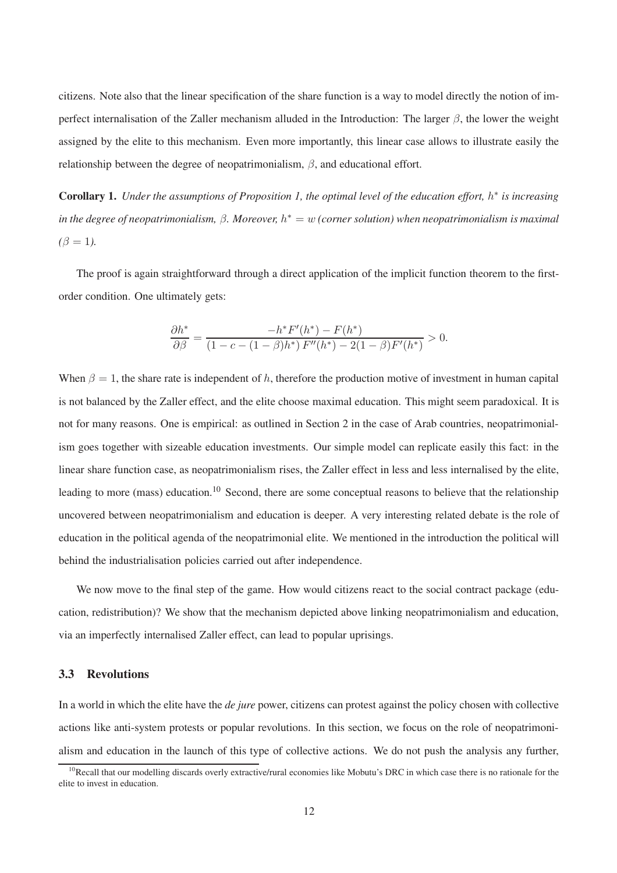citizens. Note also that the linear specification of the share function is a way to model directly the notion of imperfect internalisation of the Zaller mechanism alluded in the Introduction: The larger  $\beta$ , the lower the weight assigned by the elite to this mechanism. Even more importantly, this linear case allows to illustrate easily the relationship between the degree of neopatrimonialism,  $\beta$ , and educational effort.

**Corollary 1.** *Under the assumptions of Proposition 1, the optimal level of the education effort,* h ∗ *is increasing in the degree of neopatrimonialism,* β*. Moreover,* h <sup>∗</sup> = w *(corner solution) when neopatrimonialism is maximal*  $(\beta = 1)$ .

The proof is again straightforward through a direct application of the implicit function theorem to the firstorder condition. One ultimately gets:

$$
\frac{\partial h^*}{\partial \beta} = \frac{-h^* F'(h^*) - F(h^*)}{(1 - c - (1 - \beta)h^*) F''(h^*) - 2(1 - \beta)F'(h^*)} > 0.
$$

When  $\beta = 1$ , the share rate is independent of h, therefore the production motive of investment in human capital is not balanced by the Zaller effect, and the elite choose maximal education. This might seem paradoxical. It is not for many reasons. One is empirical: as outlined in Section 2 in the case of Arab countries, neopatrimonialism goes together with sizeable education investments. Our simple model can replicate easily this fact: in the linear share function case, as neopatrimonialism rises, the Zaller effect in less and less internalised by the elite, leading to more (mass) education.<sup>10</sup> Second, there are some conceptual reasons to believe that the relationship uncovered between neopatrimonialism and education is deeper. A very interesting related debate is the role of education in the political agenda of the neopatrimonial elite. We mentioned in the introduction the political will behind the industrialisation policies carried out after independence.

We now move to the final step of the game. How would citizens react to the social contract package (education, redistribution)? We show that the mechanism depicted above linking neopatrimonialism and education, via an imperfectly internalised Zaller effect, can lead to popular uprisings.

#### **3.3 Revolutions**

In a world in which the elite have the *de jure* power, citizens can protest against the policy chosen with collective actions like anti-system protests or popular revolutions. In this section, we focus on the role of neopatrimonialism and education in the launch of this type of collective actions. We do not push the analysis any further,

 $10$ Recall that our modelling discards overly extractive/rural economies like Mobutu's DRC in which case there is no rationale for the elite to invest in education.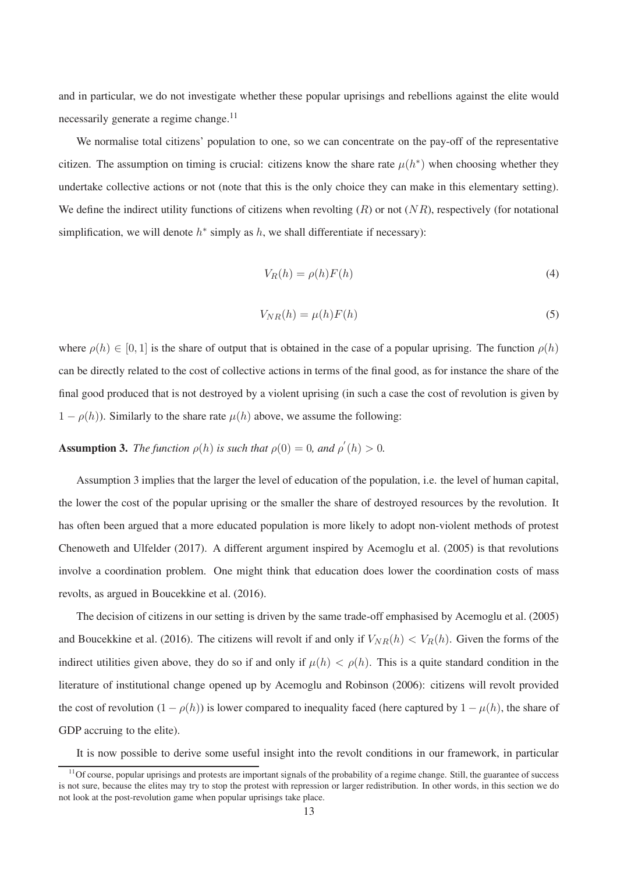and in particular, we do not investigate whether these popular uprisings and rebellions against the elite would necessarily generate a regime change.<sup>11</sup>

We normalise total citizens' population to one, so we can concentrate on the pay-off of the representative citizen. The assumption on timing is crucial: citizens know the share rate  $\mu(h^*)$  when choosing whether they undertake collective actions or not (note that this is the only choice they can make in this elementary setting). We define the indirect utility functions of citizens when revolting  $(R)$  or not  $(NR)$ , respectively (for notational simplification, we will denote  $h^*$  simply as  $h$ , we shall differentiate if necessary):

$$
V_R(h) = \rho(h)F(h)
$$
\n<sup>(4)</sup>

$$
V_{NR}(h) = \mu(h)F(h) \tag{5}
$$

where  $\rho(h) \in [0, 1]$  is the share of output that is obtained in the case of a popular uprising. The function  $\rho(h)$ can be directly related to the cost of collective actions in terms of the final good, as for instance the share of the final good produced that is not destroyed by a violent uprising (in such a case the cost of revolution is given by  $1 - \rho(h)$ ). Similarly to the share rate  $\mu(h)$  above, we assume the following:

**Assumption 3.** *The function*  $\rho(h)$  *is such that*  $\rho(0) = 0$ *, and*  $\rho'(h) > 0$ *.* 

Assumption 3 implies that the larger the level of education of the population, i.e. the level of human capital, the lower the cost of the popular uprising or the smaller the share of destroyed resources by the revolution. It has often been argued that a more educated population is more likely to adopt non-violent methods of protest Chenoweth and Ulfelder (2017). A different argument inspired by Acemoglu et al. (2005) is that revolutions involve a coordination problem. One might think that education does lower the coordination costs of mass revolts, as argued in Boucekkine et al. (2016).

The decision of citizens in our setting is driven by the same trade-off emphasised by Acemoglu et al. (2005) and Boucekkine et al. (2016). The citizens will revolt if and only if  $V_{NR}(h) < V_R(h)$ . Given the forms of the indirect utilities given above, they do so if and only if  $\mu(h) < \rho(h)$ . This is a quite standard condition in the literature of institutional change opened up by Acemoglu and Robinson (2006): citizens will revolt provided the cost of revolution  $(1 - \rho(h))$  is lower compared to inequality faced (here captured by  $1 - \mu(h)$ , the share of GDP accruing to the elite).

It is now possible to derive some useful insight into the revolt conditions in our framework, in particular

 $<sup>11</sup>$ Of course, popular uprisings and protests are important signals of the probability of a regime change. Still, the guarantee of success</sup> is not sure, because the elites may try to stop the protest with repression or larger redistribution. In other words, in this section we do not look at the post-revolution game when popular uprisings take place.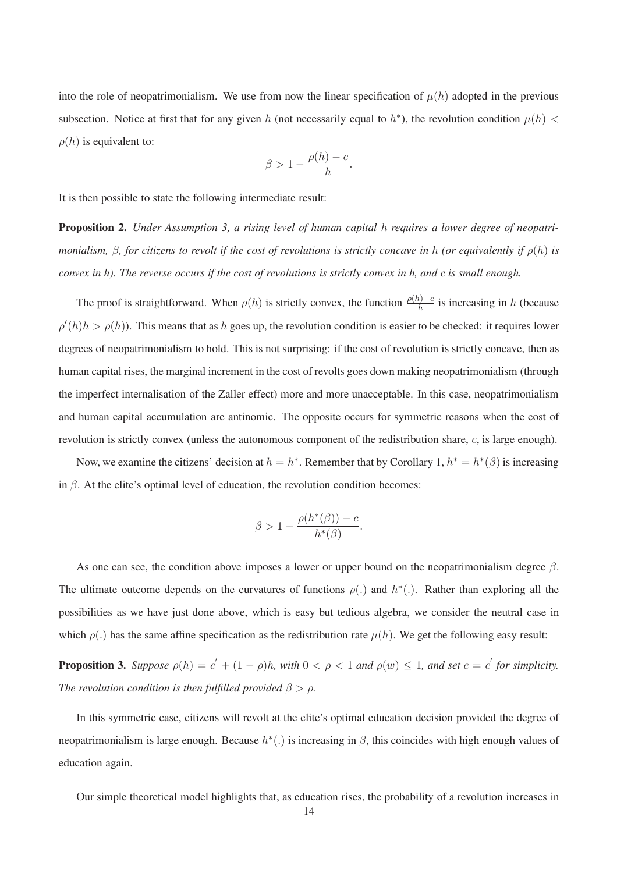into the role of neopatrimonialism. We use from now the linear specification of  $\mu(h)$  adopted in the previous subsection. Notice at first that for any given h (not necessarily equal to  $h^*$ ), the revolution condition  $\mu(h)$  <  $\rho(h)$  is equivalent to:

$$
\beta > 1 - \frac{\rho(h) - c}{h}.
$$

It is then possible to state the following intermediate result:

**Proposition 2.** *Under Assumption 3, a rising level of human capital* h *requires a lower degree of neopatrimonialism,*  $\beta$ *, for citizens to revolt if the cost of revolutions is strictly concave in h (or equivalently if*  $\rho(h)$  *is convex in h). The reverse occurs if the cost of revolutions is strictly convex in h, and* c *is small enough.*

The proof is straightforward. When  $\rho(h)$  is strictly convex, the function  $\frac{\rho(h)-c}{h}$  is increasing in h (because  $\rho'(h)h > \rho(h)$ ). This means that as h goes up, the revolution condition is easier to be checked: it requires lower degrees of neopatrimonialism to hold. This is not surprising: if the cost of revolution is strictly concave, then as human capital rises, the marginal increment in the cost of revolts goes down making neopatrimonialism (through the imperfect internalisation of the Zaller effect) more and more unacceptable. In this case, neopatrimonialism and human capital accumulation are antinomic. The opposite occurs for symmetric reasons when the cost of revolution is strictly convex (unless the autonomous component of the redistribution share, c, is large enough).

Now, we examine the citizens' decision at  $h = h^*$ . Remember that by Corollary 1,  $h^* = h^*(\beta)$  is increasing in  $\beta$ . At the elite's optimal level of education, the revolution condition becomes:

$$
\beta > 1 - \frac{\rho(h^*(\beta)) - c}{h^*(\beta)}.
$$

As one can see, the condition above imposes a lower or upper bound on the neopatrimonialism degree  $\beta$ . The ultimate outcome depends on the curvatures of functions  $\rho(.)$  and  $h^*(.)$ . Rather than exploring all the possibilities as we have just done above, which is easy but tedious algebra, we consider the neutral case in which  $\rho(.)$  has the same affine specification as the redistribution rate  $\mu(h)$ . We get the following easy result:

**Proposition 3.** Suppose  $\rho(h) = c' + (1 - \rho)h$ , with  $0 < \rho < 1$  and  $\rho(w) \le 1$ , and set  $c = c'$  for simplicity. *The revolution condition is then fulfilled provided*  $\beta > \rho$ *.* 

In this symmetric case, citizens will revolt at the elite's optimal education decision provided the degree of neopatrimonialism is large enough. Because  $h^*(.)$  is increasing in  $\beta$ , this coincides with high enough values of education again.

Our simple theoretical model highlights that, as education rises, the probability of a revolution increases in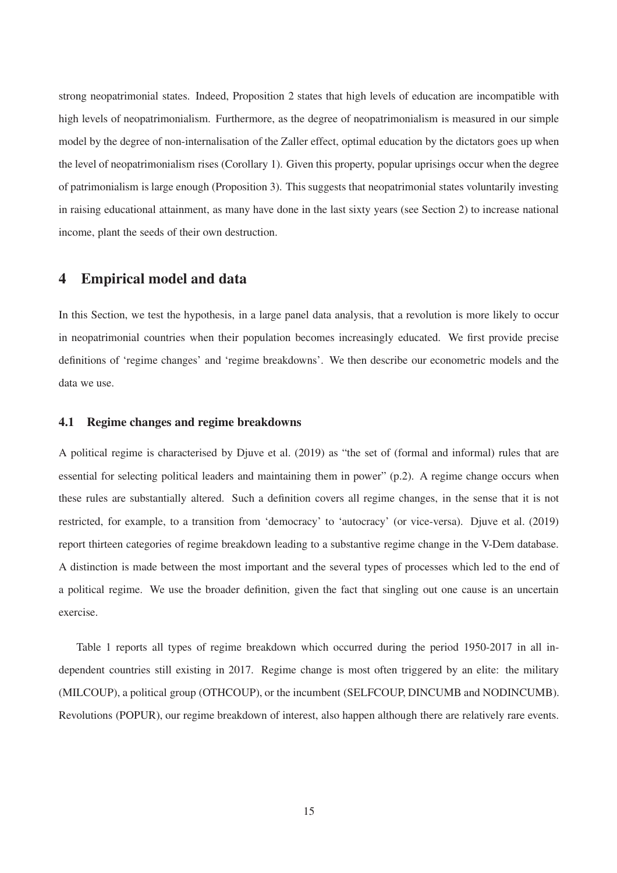strong neopatrimonial states. Indeed, Proposition 2 states that high levels of education are incompatible with high levels of neopatrimonialism. Furthermore, as the degree of neopatrimonialism is measured in our simple model by the degree of non-internalisation of the Zaller effect, optimal education by the dictators goes up when the level of neopatrimonialism rises (Corollary 1). Given this property, popular uprisings occur when the degree of patrimonialism is large enough (Proposition 3). This suggests that neopatrimonial states voluntarily investing in raising educational attainment, as many have done in the last sixty years (see Section 2) to increase national income, plant the seeds of their own destruction.

# **4 Empirical model and data**

In this Section, we test the hypothesis, in a large panel data analysis, that a revolution is more likely to occur in neopatrimonial countries when their population becomes increasingly educated. We first provide precise definitions of 'regime changes' and 'regime breakdowns'. We then describe our econometric models and the data we use.

#### **4.1 Regime changes and regime breakdowns**

A political regime is characterised by Djuve et al. (2019) as "the set of (formal and informal) rules that are essential for selecting political leaders and maintaining them in power" (p.2). A regime change occurs when these rules are substantially altered. Such a definition covers all regime changes, in the sense that it is not restricted, for example, to a transition from 'democracy' to 'autocracy' (or vice-versa). Djuve et al. (2019) report thirteen categories of regime breakdown leading to a substantive regime change in the V-Dem database. A distinction is made between the most important and the several types of processes which led to the end of a political regime. We use the broader definition, given the fact that singling out one cause is an uncertain exercise.

Table 1 reports all types of regime breakdown which occurred during the period 1950-2017 in all independent countries still existing in 2017. Regime change is most often triggered by an elite: the military (MILCOUP), a political group (OTHCOUP), or the incumbent (SELFCOUP, DINCUMB and NODINCUMB). Revolutions (POPUR), our regime breakdown of interest, also happen although there are relatively rare events.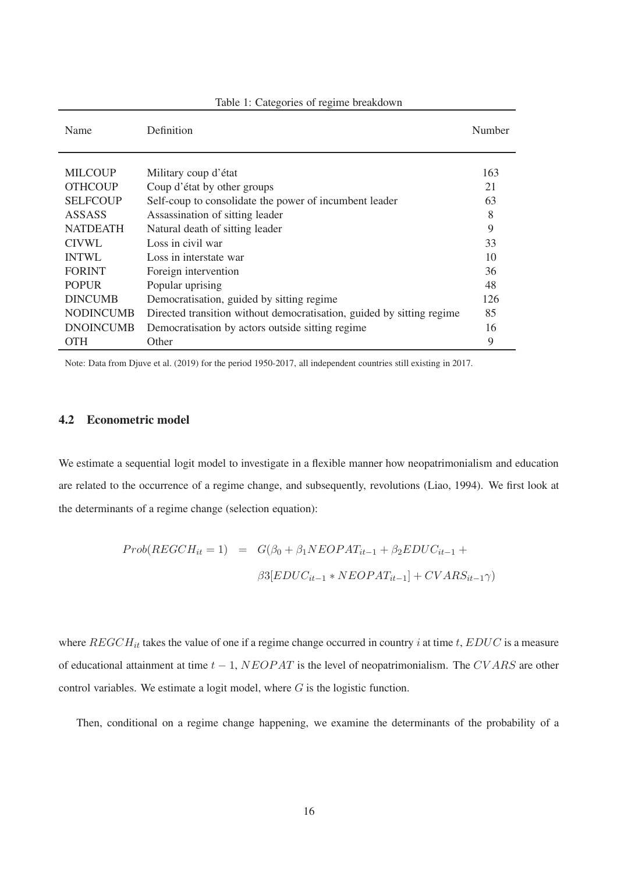| Name             | Definition                                                            | Number |
|------------------|-----------------------------------------------------------------------|--------|
|                  |                                                                       |        |
| <b>MILCOUP</b>   | Military coup d'état                                                  | 163    |
| <b>OTHCOUP</b>   | Coup d'état by other groups                                           | 21     |
| <b>SELFCOUP</b>  | Self-coup to consolidate the power of incumbent leader                | 63     |
| <b>ASSASS</b>    | Assassination of sitting leader                                       | 8      |
| <b>NATDEATH</b>  | Natural death of sitting leader                                       | 9      |
| CIVWL            | Loss in civil war                                                     | 33     |
| <b>INTWL</b>     | Loss in interstate war                                                | 10     |
| <b>FORINT</b>    | Foreign intervention                                                  | 36     |
| <b>POPUR</b>     | Popular uprising                                                      | 48     |
| <b>DINCUMB</b>   | Democratisation, guided by sitting regime                             | 126    |
| <b>NODINCUMB</b> | Directed transition without democratisation, guided by sitting regime | 85     |
| <b>DNOINCUMB</b> | Democratisation by actors outside sitting regime                      | 16     |
| <b>OTH</b>       | Other                                                                 | 9      |

Table 1: Categories of regime breakdown

Note: Data from Djuve et al. (2019) for the period 1950-2017, all independent countries still existing in 2017.

## **4.2 Econometric model**

We estimate a sequential logit model to investigate in a flexible manner how neopatrimonialism and education are related to the occurrence of a regime change, and subsequently, revolutions (Liao, 1994). We first look at the determinants of a regime change (selection equation):

$$
Prob(REGCH_{it} = 1) = G(\beta_0 + \beta_1 NEOPAT_{it-1} + \beta_2 EDUC_{it-1} +
$$

$$
\beta 3[EDUC_{it-1} * NEOPAT_{it-1}] + CVARS_{it-1}\gamma)
$$

where  $REGCH_{it}$  takes the value of one if a regime change occurred in country i at time t,  $EDUC$  is a measure of educational attainment at time  $t - 1$ ,  $NEOPAT$  is the level of neopatrimonialism. The CVARS are other control variables. We estimate a logit model, where  $G$  is the logistic function.

Then, conditional on a regime change happening, we examine the determinants of the probability of a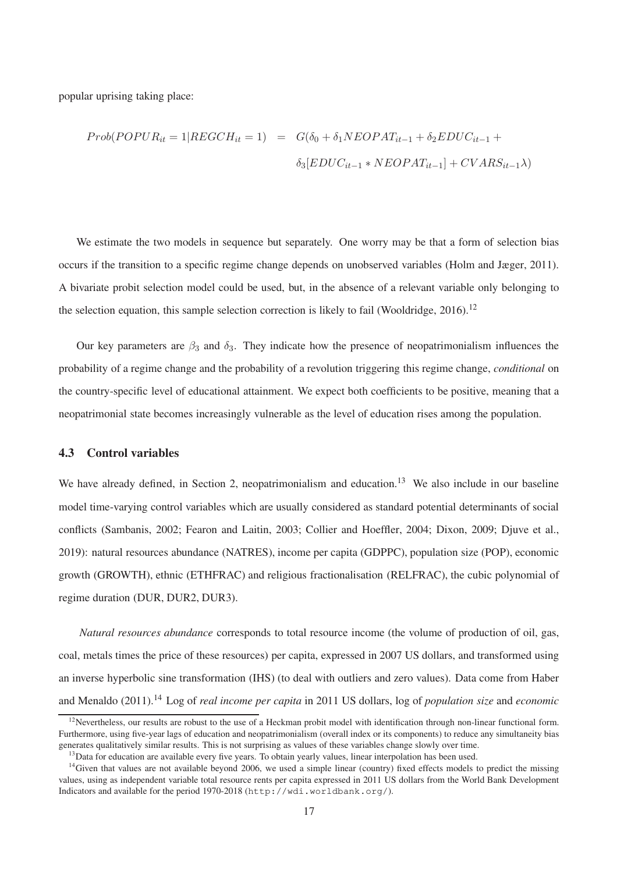popular uprising taking place:

$$
Prob(POPUR_{it} = 1 | REGCH_{it} = 1) = G(\delta_0 + \delta_1 NEOPAT_{it-1} + \delta_2 EDUC_{it-1} + \delta_3 [EDUC_{it-1} * NEOPAT_{it-1}] + CVARS_{it-1} \lambda)
$$

We estimate the two models in sequence but separately. One worry may be that a form of selection bias occurs if the transition to a specific regime change depends on unobserved variables (Holm and Jæger, 2011). A bivariate probit selection model could be used, but, in the absence of a relevant variable only belonging to the selection equation, this sample selection correction is likely to fail (Wooldridge,  $2016$ ).<sup>12</sup>

Our key parameters are  $\beta_3$  and  $\delta_3$ . They indicate how the presence of neopatrimonialism influences the probability of a regime change and the probability of a revolution triggering this regime change, *conditional* on the country-specific level of educational attainment. We expect both coefficients to be positive, meaning that a neopatrimonial state becomes increasingly vulnerable as the level of education rises among the population.

### **4.3 Control variables**

We have already defined, in Section 2, neopatrimonialism and education.<sup>13</sup> We also include in our baseline model time-varying control variables which are usually considered as standard potential determinants of social conflicts (Sambanis, 2002; Fearon and Laitin, 2003; Collier and Hoeffler, 2004; Dixon, 2009; Djuve et al., 2019): natural resources abundance (NATRES), income per capita (GDPPC), population size (POP), economic growth (GROWTH), ethnic (ETHFRAC) and religious fractionalisation (RELFRAC), the cubic polynomial of regime duration (DUR, DUR2, DUR3).

*Natural resources abundance* corresponds to total resource income (the volume of production of oil, gas, coal, metals times the price of these resources) per capita, expressed in 2007 US dollars, and transformed using an inverse hyperbolic sine transformation (IHS) (to deal with outliers and zero values). Data come from Haber and Menaldo (2011).<sup>14</sup> Log of *real income per capita* in 2011 US dollars, log of *population size* and *economic*

 $12$ Nevertheless, our results are robust to the use of a Heckman probit model with identification through non-linear functional form. Furthermore, using five-year lags of education and neopatrimonialism (overall index or its components) to reduce any simultaneity bias generates qualitatively similar results. This is not surprising as values of these variables change slowly over time.

 $<sup>13</sup>$ Data for education are available every five years. To obtain yearly values, linear interpolation has been used.</sup>

<sup>&</sup>lt;sup>14</sup>Given that values are not available beyond 2006, we used a simple linear (country) fixed effects models to predict the missing values, using as independent variable total resource rents per capita expressed in 2011 US dollars from the World Bank Development Indicators and available for the period 1970-2018 (http://wdi.worldbank.org/).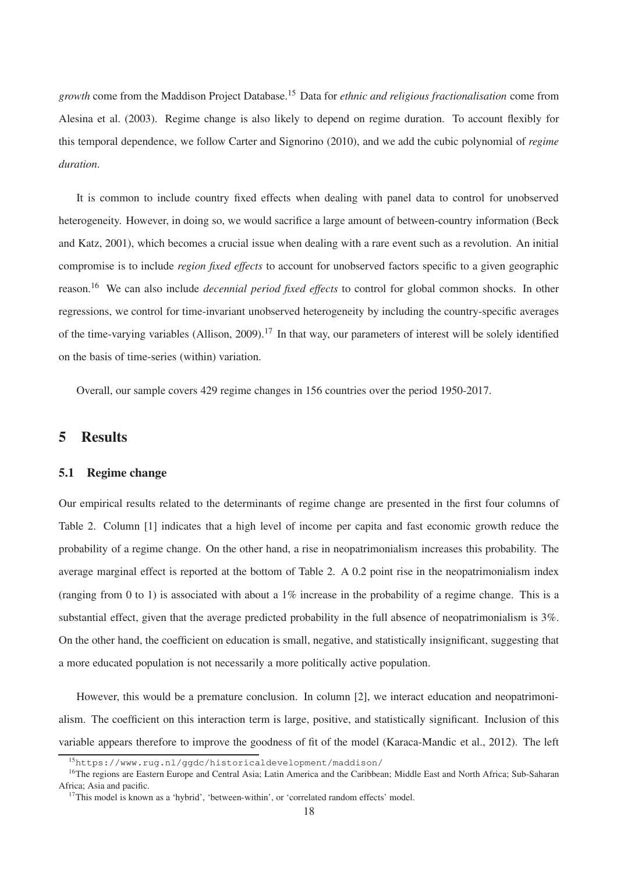*growth* come from the Maddison Project Database.<sup>15</sup> Data for *ethnic and religious fractionalisation* come from Alesina et al. (2003). Regime change is also likely to depend on regime duration. To account flexibly for this temporal dependence, we follow Carter and Signorino (2010), and we add the cubic polynomial of *regime duration*.

It is common to include country fixed effects when dealing with panel data to control for unobserved heterogeneity. However, in doing so, we would sacrifice a large amount of between-country information (Beck and Katz, 2001), which becomes a crucial issue when dealing with a rare event such as a revolution. An initial compromise is to include *region fixed effects* to account for unobserved factors specific to a given geographic reason.<sup>16</sup> We can also include *decennial period fixed effects* to control for global common shocks. In other regressions, we control for time-invariant unobserved heterogeneity by including the country-specific averages of the time-varying variables (Allison, 2009).<sup>17</sup> In that way, our parameters of interest will be solely identified on the basis of time-series (within) variation.

Overall, our sample covers 429 regime changes in 156 countries over the period 1950-2017.

# **5 Results**

#### **5.1 Regime change**

Our empirical results related to the determinants of regime change are presented in the first four columns of Table 2. Column [1] indicates that a high level of income per capita and fast economic growth reduce the probability of a regime change. On the other hand, a rise in neopatrimonialism increases this probability. The average marginal effect is reported at the bottom of Table 2. A 0.2 point rise in the neopatrimonialism index (ranging from 0 to 1) is associated with about a 1% increase in the probability of a regime change. This is a substantial effect, given that the average predicted probability in the full absence of neopatrimonialism is  $3\%$ . On the other hand, the coefficient on education is small, negative, and statistically insignificant, suggesting that a more educated population is not necessarily a more politically active population.

However, this would be a premature conclusion. In column [2], we interact education and neopatrimonialism. The coefficient on this interaction term is large, positive, and statistically significant. Inclusion of this variable appears therefore to improve the goodness of fit of the model (Karaca-Mandic et al., 2012). The left

<sup>15</sup>https://www.rug.nl/ggdc/historicaldevelopment/maddison/

<sup>&</sup>lt;sup>16</sup>The regions are Eastern Europe and Central Asia; Latin America and the Caribbean; Middle East and North Africa; Sub-Saharan Africa; Asia and pacific.

<sup>&</sup>lt;sup>17</sup>This model is known as a 'hybrid', 'between-within', or 'correlated random effects' model.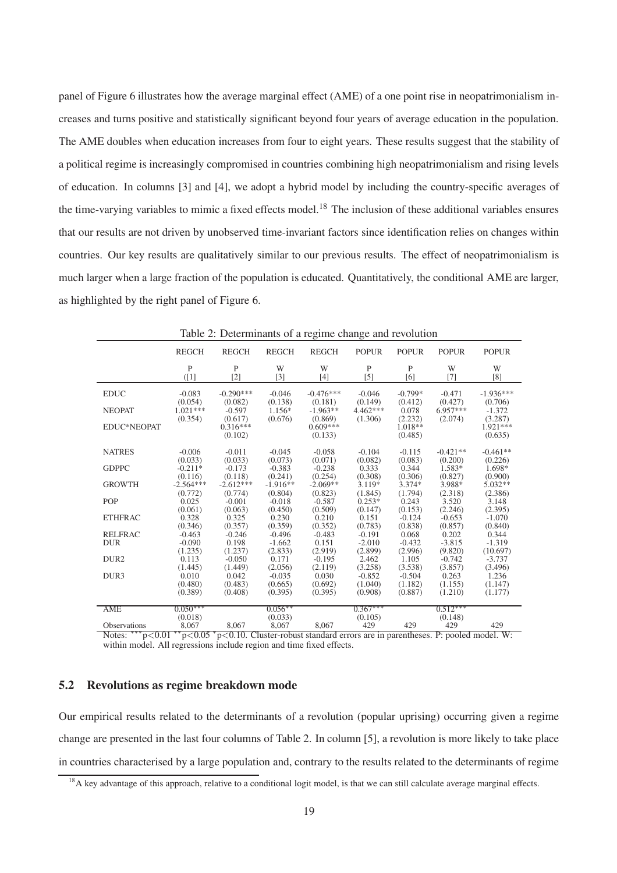panel of Figure 6 illustrates how the average marginal effect (AME) of a one point rise in neopatrimonialism increases and turns positive and statistically significant beyond four years of average education in the population. The AME doubles when education increases from four to eight years. These results suggest that the stability of a political regime is increasingly compromised in countries combining high neopatrimonialism and rising levels of education. In columns [3] and [4], we adopt a hybrid model by including the country-specific averages of the time-varying variables to mimic a fixed effects model.<sup>18</sup> The inclusion of these additional variables ensures that our results are not driven by unobserved time-invariant factors since identification relies on changes within countries. Our key results are qualitatively similar to our previous results. The effect of neopatrimonialism is much larger when a large fraction of the population is educated. Quantitatively, the conditional AME are larger, as highlighted by the right panel of Figure 6.

| <b>REGCH</b> | <b>REGCH</b>                                                                                                                 | <b>REGCH</b>                                                                                                                    | <b>REGCH</b>                                                                                                                    | <b>POPUR</b>                                                                                                                    | <b>POPUR</b>                                                                                                                    | <b>POPUR</b>                                                                                                                    | <b>POPUR</b>                                                                                                                                                                                                                                                 |
|--------------|------------------------------------------------------------------------------------------------------------------------------|---------------------------------------------------------------------------------------------------------------------------------|---------------------------------------------------------------------------------------------------------------------------------|---------------------------------------------------------------------------------------------------------------------------------|---------------------------------------------------------------------------------------------------------------------------------|---------------------------------------------------------------------------------------------------------------------------------|--------------------------------------------------------------------------------------------------------------------------------------------------------------------------------------------------------------------------------------------------------------|
| P<br>(1]     | P<br>$[2]$                                                                                                                   | W<br>$[3]$                                                                                                                      | W<br>$[4]$                                                                                                                      | P<br>$[5]$                                                                                                                      | P<br>[6]                                                                                                                        | W<br>$[7]$                                                                                                                      | W<br>[8]                                                                                                                                                                                                                                                     |
| $-0.083$     | $-0.290***$                                                                                                                  | $-0.046$                                                                                                                        | $-0.476***$                                                                                                                     | $-0.046$                                                                                                                        | $-0.799*$                                                                                                                       | $-0.471$                                                                                                                        | $-1.936***$<br>(0.706)                                                                                                                                                                                                                                       |
| $1.021***$   | $-0.597$                                                                                                                     | $1.156*$                                                                                                                        | $-1.963**$                                                                                                                      | $4.462***$                                                                                                                      | 0.078                                                                                                                           | $6.957***$                                                                                                                      | $-1.372$<br>(3.287)                                                                                                                                                                                                                                          |
|              | $0.316***$<br>(0.102)                                                                                                        |                                                                                                                                 | $0.609***$<br>(0.133)                                                                                                           |                                                                                                                                 | $1.018**$<br>(0.485)                                                                                                            |                                                                                                                                 | $1.921***$<br>(0.635)                                                                                                                                                                                                                                        |
| $-0.006$     | $-0.011$                                                                                                                     | $-0.045$                                                                                                                        | $-0.058$                                                                                                                        | $-0.104$                                                                                                                        | $-0.115$                                                                                                                        | $-0.421**$                                                                                                                      | $-0.461**$<br>(0.226)                                                                                                                                                                                                                                        |
| $-0.211*$    | $-0.173$                                                                                                                     | $-0.383$                                                                                                                        | $-0.238$                                                                                                                        | 0.333                                                                                                                           | 0.344                                                                                                                           | $1.583*$                                                                                                                        | 1.698*<br>(0.900)                                                                                                                                                                                                                                            |
| $-2.564***$  | $-2.612***$                                                                                                                  | $-1.916**$                                                                                                                      | $-2.069**$                                                                                                                      | 3.119*                                                                                                                          | $3.374*$                                                                                                                        | 3.988*                                                                                                                          | $5.032**$                                                                                                                                                                                                                                                    |
| 0.025        | $-0.001$                                                                                                                     | $-0.018$                                                                                                                        | $-0.587$                                                                                                                        | $0.253*$                                                                                                                        | 0.243                                                                                                                           | 3.520                                                                                                                           | (2.386)<br>3.148                                                                                                                                                                                                                                             |
| 0.328        | 0.325                                                                                                                        | 0.230                                                                                                                           | 0.210                                                                                                                           | 0.151                                                                                                                           | $-0.124$                                                                                                                        | $-0.653$                                                                                                                        | (2.395)<br>$-1.070$<br>(0.840)                                                                                                                                                                                                                               |
| $-0.463$     | $-0.246$                                                                                                                     | $-0.496$                                                                                                                        | $-0.483$                                                                                                                        | $-0.191$                                                                                                                        | 0.068                                                                                                                           | 0.202                                                                                                                           | 0.344                                                                                                                                                                                                                                                        |
| $-0.090$     | 0.198                                                                                                                        | $-1.662$                                                                                                                        | 0.151                                                                                                                           | $-2.010$                                                                                                                        | $-0.432$                                                                                                                        | $-3.815$                                                                                                                        | $-1.319$                                                                                                                                                                                                                                                     |
| (1.235)      | (1.237)                                                                                                                      | (2.833)                                                                                                                         | (2.919)                                                                                                                         | (2.899)                                                                                                                         | (2.996)                                                                                                                         | (9.820)                                                                                                                         | (10.697)                                                                                                                                                                                                                                                     |
|              |                                                                                                                              |                                                                                                                                 |                                                                                                                                 |                                                                                                                                 |                                                                                                                                 |                                                                                                                                 | $-3.737$                                                                                                                                                                                                                                                     |
|              |                                                                                                                              |                                                                                                                                 |                                                                                                                                 |                                                                                                                                 |                                                                                                                                 |                                                                                                                                 | (3.496)                                                                                                                                                                                                                                                      |
|              |                                                                                                                              |                                                                                                                                 |                                                                                                                                 |                                                                                                                                 |                                                                                                                                 |                                                                                                                                 | 1.236                                                                                                                                                                                                                                                        |
|              |                                                                                                                              |                                                                                                                                 |                                                                                                                                 |                                                                                                                                 |                                                                                                                                 |                                                                                                                                 | (1.147)<br>(1.177)                                                                                                                                                                                                                                           |
|              |                                                                                                                              |                                                                                                                                 |                                                                                                                                 |                                                                                                                                 |                                                                                                                                 |                                                                                                                                 |                                                                                                                                                                                                                                                              |
| $0.050***$   |                                                                                                                              | $0.056***$                                                                                                                      |                                                                                                                                 | $0.367***$                                                                                                                      |                                                                                                                                 | $0.512***$                                                                                                                      |                                                                                                                                                                                                                                                              |
| (0.018)      |                                                                                                                              | (0.033)                                                                                                                         |                                                                                                                                 | (0.105)                                                                                                                         |                                                                                                                                 | (0.148)                                                                                                                         |                                                                                                                                                                                                                                                              |
| 8,067        | 8,067                                                                                                                        | 8,067                                                                                                                           | 8,067                                                                                                                           | 429                                                                                                                             | 429                                                                                                                             | 429                                                                                                                             | 429                                                                                                                                                                                                                                                          |
|              | (0.054)<br>(0.354)<br>(0.033)<br>(0.116)<br>(0.772)<br>(0.061)<br>(0.346)<br>0.113<br>(1.445)<br>0.010<br>(0.480)<br>(0.389) | (0.082)<br>(0.617)<br>(0.033)<br>(0.118)<br>(0.774)<br>(0.063)<br>(0.357)<br>$-0.050$<br>(1.449)<br>0.042<br>(0.483)<br>(0.408) | (0.138)<br>(0.676)<br>(0.073)<br>(0.241)<br>(0.804)<br>(0.450)<br>(0.359)<br>0.171<br>(2.056)<br>$-0.035$<br>(0.665)<br>(0.395) | (0.181)<br>(0.869)<br>(0.071)<br>(0.254)<br>(0.823)<br>(0.509)<br>(0.352)<br>$-0.195$<br>(2.119)<br>0.030<br>(0.692)<br>(0.395) | (0.149)<br>(1.306)<br>(0.082)<br>(0.308)<br>(1.845)<br>(0.147)<br>(0.783)<br>2.462<br>(3.258)<br>$-0.852$<br>(1.040)<br>(0.908) | (0.412)<br>(2.232)<br>(0.083)<br>(0.306)<br>(1.794)<br>(0.153)<br>(0.838)<br>1.105<br>(3.538)<br>$-0.504$<br>(1.182)<br>(0.887) | (0.427)<br>(2.074)<br>(0.200)<br>(0.827)<br>(2.318)<br>(2.246)<br>(0.857)<br>$-0.742$<br>(3.857)<br>0.263<br>(1.155)<br>(1.210)<br>Notae: *** $\sim 0.01$ ** $\sim 0.05$ * $\sim 0.10$ Cluster reput standard errors are in perentheses. By peopled model W. |

Table 2: Determinants of a regime change and revolution

Notes: <sup>∗∗∗</sup>p<0.01 <sup>∗∗</sup>p<0.05 <sup>∗</sup>p<0.10. Cluster-robust standard errors are in parentheses. P: pooled model. W: within model. All regressions include region and time fixed effects.

#### **5.2 Revolutions as regime breakdown mode**

Our empirical results related to the determinants of a revolution (popular uprising) occurring given a regime change are presented in the last four columns of Table 2. In column [5], a revolution is more likely to take place in countries characterised by a large population and, contrary to the results related to the determinants of regime

<sup>&</sup>lt;sup>18</sup>A key advantage of this approach, relative to a conditional logit model, is that we can still calculate average marginal effects.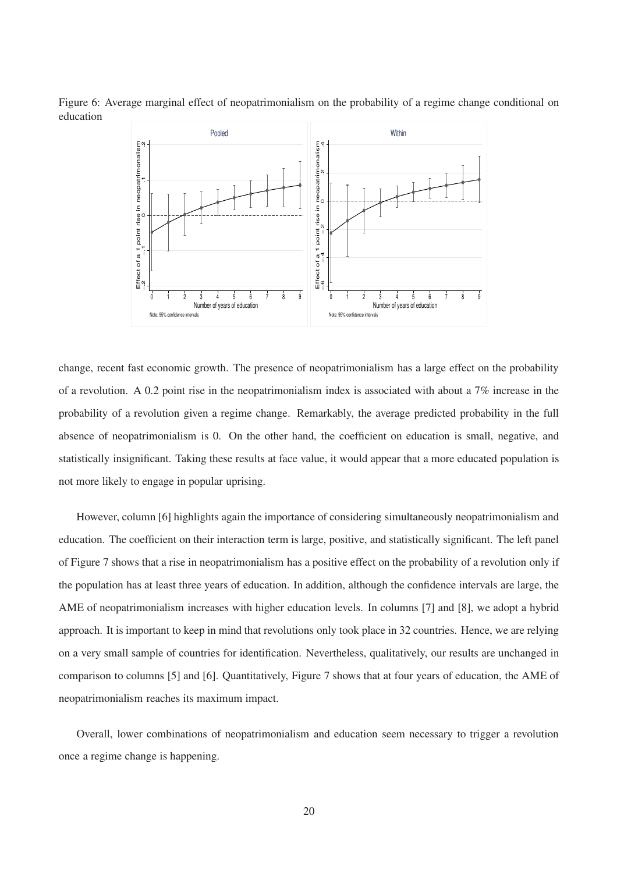Figure 6: Average marginal effect of neopatrimonialism on the probability of a regime change conditional on education



change, recent fast economic growth. The presence of neopatrimonialism has a large effect on the probability of a revolution. A 0.2 point rise in the neopatrimonialism index is associated with about a 7% increase in the probability of a revolution given a regime change. Remarkably, the average predicted probability in the full absence of neopatrimonialism is 0. On the other hand, the coefficient on education is small, negative, and statistically insignificant. Taking these results at face value, it would appear that a more educated population is not more likely to engage in popular uprising.

However, column [6] highlights again the importance of considering simultaneously neopatrimonialism and education. The coefficient on their interaction term is large, positive, and statistically significant. The left panel of Figure 7 shows that a rise in neopatrimonialism has a positive effect on the probability of a revolution only if the population has at least three years of education. In addition, although the confidence intervals are large, the AME of neopatrimonialism increases with higher education levels. In columns [7] and [8], we adopt a hybrid approach. It is important to keep in mind that revolutions only took place in 32 countries. Hence, we are relying on a very small sample of countries for identification. Nevertheless, qualitatively, our results are unchanged in comparison to columns [5] and [6]. Quantitatively, Figure 7 shows that at four years of education, the AME of neopatrimonialism reaches its maximum impact.

Overall, lower combinations of neopatrimonialism and education seem necessary to trigger a revolution once a regime change is happening.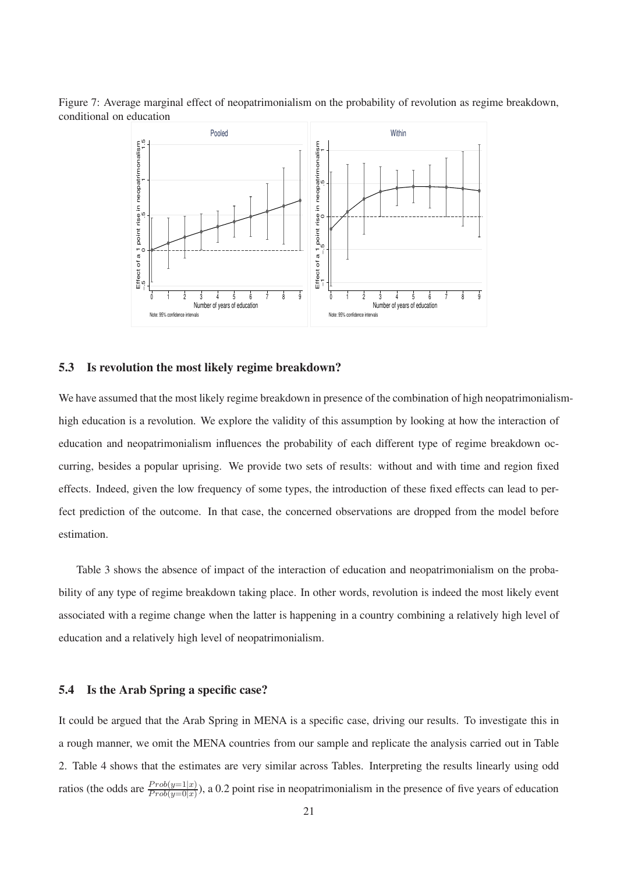Figure 7: Average marginal effect of neopatrimonialism on the probability of revolution as regime breakdown, conditional on education



#### **5.3 Is revolution the most likely regime breakdown?**

We have assumed that the most likely regime breakdown in presence of the combination of high neopatrimonialismhigh education is a revolution. We explore the validity of this assumption by looking at how the interaction of education and neopatrimonialism influences the probability of each different type of regime breakdown occurring, besides a popular uprising. We provide two sets of results: without and with time and region fixed effects. Indeed, given the low frequency of some types, the introduction of these fixed effects can lead to perfect prediction of the outcome. In that case, the concerned observations are dropped from the model before estimation.

Table 3 shows the absence of impact of the interaction of education and neopatrimonialism on the probability of any type of regime breakdown taking place. In other words, revolution is indeed the most likely event associated with a regime change when the latter is happening in a country combining a relatively high level of education and a relatively high level of neopatrimonialism.

### **5.4 Is the Arab Spring a specific case?**

It could be argued that the Arab Spring in MENA is a specific case, driving our results. To investigate this in a rough manner, we omit the MENA countries from our sample and replicate the analysis carried out in Table 2. Table 4 shows that the estimates are very similar across Tables. Interpreting the results linearly using odd ratios (the odds are  $\frac{Prob(y=1|x)}{Prob(y=0|x)}$ ), a 0.2 point rise in neopatrimonialism in the presence of five years of education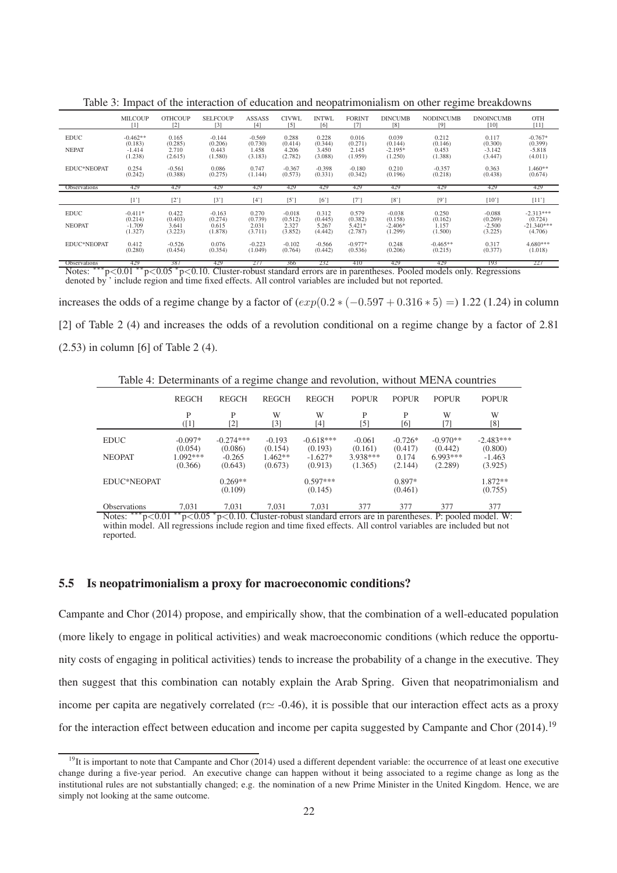|                     | <b>MILCOUP</b> | <b>OTHCOUP</b> | <b>SELECOUP</b>   | <b>ASSASS</b> | <b>CIVWL</b>      | <b>INTWL</b> | <b>FORINT</b> | <b>DINCUMB</b> | <b>NODINCUMB</b> | <b>DNOINCUMB</b> | <b>OTH</b>   |
|---------------------|----------------|----------------|-------------------|---------------|-------------------|--------------|---------------|----------------|------------------|------------------|--------------|
|                     | [1]            | [2]            | $\lceil 3 \rceil$ | [4]           | $\lceil 5 \rceil$ | [6]          | Γ7            | [8]            | [9]              | [10]             | $[11]$       |
| <b>EDUC</b>         | $-0.462**$     | 0.165          | $-0.144$          | $-0.569$      | 0.288             | 0.228        | 0.016         | 0.039          | 0.212            | 0.117            | $-0.767*$    |
|                     | (0.183)        | (0.285)        | (0.206)           | (0.730)       | (0.414)           | (0.344)      | (0.271)       | (0.144)        | (0.146)          | (0.300)          | (0.399)      |
| <b>NEPAT</b>        | $-1.414$       | 2.710          | 0.443             | 1.458         | 4.206             | 3.450        | 2.145         | $-2.195*$      | 0.453            | $-3.142$         | $-5.818$     |
|                     | (1.238)        | (2.615)        | (1.580)           | (3.183)       | (2.782)           | (3.088)      | (1.959)       | (1.250)        | (1.388)          | (3.447)          | (4.011)      |
| EDUC*NEOPAT         | 0.254          | $-0.561$       | 0.086             | 0.747         | $-0.367$          | $-0.398$     | $-0.180$      | 0.210          | $-0.357$         | 0.363            | $1.460**$    |
|                     | (0.242)        | (0.388)        | (0.275)           | (1.144)       | (0.573)           | (0.331)      | (0.342)       | (0.196)        | (0.218)          | (0.438)          | (0.674)      |
| <b>Observations</b> | 429            | 429            | 429               | 429           | 429               | 429          | 429           | 429            | 429              | 429              | 429          |
|                     | [1!]           | $[2^{\prime}]$ | [3'               | $[4^{\circ}]$ | $\lceil 5 \rceil$ | [6]          | [7'           | [8]            | [9"              | [10]             | [11]         |
| <b>EDUC</b>         | $-0.411*$      | 0.422          | $-0.163$          | 0.270         | $-0.018$          | 0.312        | 0.579         | $-0.038$       | 0.250            | $-0.088$         | $-2.313***$  |
|                     | (0.214)        | (0.403)        | (0.274)           | (0.739)       | (0.512)           | (0.445)      | (0.382)       | (0.158)        | (0.162)          | (0.269)          | (0.724)      |
| <b>NEOPAT</b>       | $-1.709$       | 3.641          | 0.615             | 2.031         | 2.327             | 5.267        | $5.421*$      | $-2.406*$      | 1.157            | $-2.500$         | $-21.340***$ |
|                     | (1.327)        | (3.223)        | (1.878)           | (3.711)       | (3.852)           | (4.442)      | (2.787)       | (1.299)        | (1.500)          | (3.225)          | (4.706)      |
| EDUC*NEOPAT         | 0.412          | $-0.526$       | 0.076             | $-0.223$      | $-0.102$          | $-0.566$     | $-0.977*$     | 0.248          | $-0.465**$       | 0.317            | $4.680***$   |
|                     | (0.280)        | (0.454)        | (0.354)           | (1.049)       | (0.764)           | (0.442)      | (0.536)       | (0.206)        | (0.215)          | (0.377)          | (1.018)      |

Table 3: Impact of the interaction of education and neopatrimonialism on other regime breakdowns

Observations 429 387 429 277 366 232 410 429 429 193 227 Notes: ∗∗∗p<0.01 ∗∗p<0.05 <sup>∗</sup> p<0.10. Cluster-robust standard errors are in parentheses. Pooled models only. Regressions denoted by ' include region and time fixed effects. All control variables are included but not reported.

increases the odds of a regime change by a factor of  $(exp(0.2 * (-0.597 + 0.316 * 5)) = 1.22$  (1.24) in column [2] of Table 2 (4) and increases the odds of a revolution conditional on a regime change by a factor of 2.81 (2.53) in column [6] of Table 2 (4).

Table 4: Determinants of a regime change and revolution, without MENA countries

|                     | <b>REGCH</b> | <b>REGCH</b>         | <b>REGCH</b> | <b>REGCH</b>          | <b>POPUR</b> | <b>POPUR</b>        | <b>POPUR</b> | <b>POPUR</b>        |
|---------------------|--------------|----------------------|--------------|-----------------------|--------------|---------------------|--------------|---------------------|
|                     | P            | P                    | W            | W                     | P            | P                   | W            | W                   |
|                     | (1]          | [2]                  | $[3]$        | [4]                   | $^{[5]}$     | [6]                 | [7]          | [8]                 |
| <b>EDUC</b>         | $-0.097*$    | $-0.274***$          | $-0.193$     | $-0.618***$           | $-0.061$     | $-0.726*$           | $-0.970**$   | $-2.483***$         |
|                     | (0.054)      | (0.086)              | (0.154)      | (0.193)               | (0.161)      | (0.417)             | (0.442)      | (0.800)             |
| <b>NEOPAT</b>       | $1.092***$   | $-0.265$             | $1.462**$    | $-1.627*$             | 3.938***     | 0.174               | $6.993***$   | $-1.463$            |
|                     | (0.366)      | (0.643)              | (0.673)      | (0.913)               | (1.365)      | (2.144)             | (2.289)      | (3.925)             |
| EDUC*NEOPAT         |              | $0.269**$<br>(0.109) |              | $0.597***$<br>(0.145) |              | $0.897*$<br>(0.461) |              | 1.872 **<br>(0.755) |
| <b>Observations</b> | 7.031        | 7.031                | 7.031        | 7.031                 | 377          | 377                 | 377          | 377                 |

Observations 7,031 7,031 7,031 7,031 377 377 377 377 Notes: ∗∗∗p<0.01 ∗∗p<0.05 <sup>∗</sup> p<0.10. Cluster-robust standard errors are in parentheses. P: pooled model. W: within model. All regressions include region and time fixed effects. All control variables are included but not reported.

#### **5.5 Is neopatrimonialism a proxy for macroeconomic conditions?**

Campante and Chor (2014) propose, and empirically show, that the combination of a well-educated population (more likely to engage in political activities) and weak macroeconomic conditions (which reduce the opportunity costs of engaging in political activities) tends to increase the probability of a change in the executive. They then suggest that this combination can notably explain the Arab Spring. Given that neopatrimonialism and income per capita are negatively correlated ( $r \approx -0.46$ ), it is possible that our interaction effect acts as a proxy for the interaction effect between education and income per capita suggested by Campante and Chor (2014).<sup>19</sup>

 $19$ It is important to note that Campante and Chor (2014) used a different dependent variable: the occurrence of at least one executive change during a five-year period. An executive change can happen without it being associated to a regime change as long as the institutional rules are not substantially changed; e.g. the nomination of a new Prime Minister in the United Kingdom. Hence, we are simply not looking at the same outcome.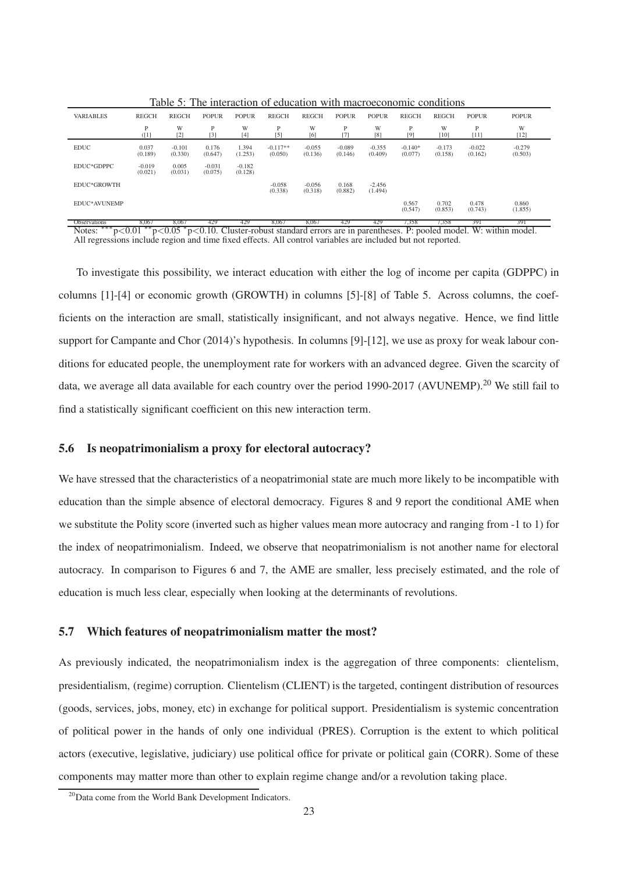|                  | $\cdots\cdots$<br><u>1110 IIIWIWODDI OI OWWOWNOIL HIWI IIIWOI OOODINIIIO OOIIWIWOID</u> |                     |                     |                     |                       |                     |                     |                     |                      |                     |                     |                     |
|------------------|-----------------------------------------------------------------------------------------|---------------------|---------------------|---------------------|-----------------------|---------------------|---------------------|---------------------|----------------------|---------------------|---------------------|---------------------|
| <b>VARIABLES</b> | <b>REGCH</b>                                                                            | <b>REGCH</b>        | <b>POPUR</b>        | <b>POPUR</b>        | <b>REGCH</b>          | <b>REGCH</b>        | <b>POPUR</b>        | <b>POPUR</b>        | <b>REGCH</b>         | <b>REGCH</b>        | <b>POPUR</b>        | <b>POPUR</b>        |
|                  | P<br>(1]                                                                                | W<br>$[2]$          | P<br>$[3]$          | W<br>[4]            | P<br>$[5]$            | W<br>[6]            | P<br>$[7]$          | W<br>[8]            | P<br>[9]             | W<br>$[10]$         | P<br>[11]           | W<br>$[12]$         |
| <b>EDUC</b>      | 0.037<br>(0.189)                                                                        | $-0.101$<br>(0.330) | 0.176<br>(0.647)    | 1.394<br>(1.253)    | $-0.117**$<br>(0.050) | $-0.055$<br>(0.136) | $-0.089$<br>(0.146) | $-0.355$<br>(0.409) | $-0.140*$<br>(0.077) | $-0.173$<br>(0.158) | $-0.022$<br>(0.162) | $-0.279$<br>(0.503) |
| EDUC*GDPPC       | $-0.019$<br>(0.021)                                                                     | 0.005<br>(0.031)    | $-0.031$<br>(0.075) | $-0.182$<br>(0.128) |                       |                     |                     |                     |                      |                     |                     |                     |
| EDUC*GROWTH      |                                                                                         |                     |                     |                     | $-0.058$<br>(0.338)   | $-0.056$<br>(0.318) | 0.168<br>(0.882)    | $-2.456$<br>(1.494) |                      |                     |                     |                     |
| EDUC*AVUNEMP     |                                                                                         |                     |                     |                     |                       |                     |                     |                     | 0.567<br>(0.547)     | 0.702<br>(0.853)    | 0.478<br>(0.743)    | 0.860<br>(1.855)    |

Table 5: The interaction of education with macroeconomic conditions

Observations 8,067 8,067 429 429 8,067 8,067 429 429 7,358 7,358 391 391  $\frac{127}{10000}$   $\frac{127}{10000}$   $\frac{127}{10000}$   $\frac{127}{10000}$  Cluster-robust standard errors are in parentheses. P: pooled model. W: within model. Notes: \*\*\* $p<0.01$  \*\* $p<0.05$  \* $p<0.10$ . Cluster-robust standard errors are in parentheses. P: pooled mod All regressions include region and time fixed effects. All control variables are included but not reported.

To investigate this possibility, we interact education with either the log of income per capita (GDPPC) in columns [1]-[4] or economic growth (GROWTH) in columns [5]-[8] of Table 5. Across columns, the coefficients on the interaction are small, statistically insignificant, and not always negative. Hence, we find little support for Campante and Chor (2014)'s hypothesis. In columns [9]-[12], we use as proxy for weak labour conditions for educated people, the unemployment rate for workers with an advanced degree. Given the scarcity of data, we average all data available for each country over the period 1990-2017 (AVUNEMP).<sup>20</sup> We still fail to find a statistically significant coefficient on this new interaction term.

## **5.6 Is neopatrimonialism a proxy for electoral autocracy?**

We have stressed that the characteristics of a neopatrimonial state are much more likely to be incompatible with education than the simple absence of electoral democracy. Figures 8 and 9 report the conditional AME when we substitute the Polity score (inverted such as higher values mean more autocracy and ranging from -1 to 1) for the index of neopatrimonialism. Indeed, we observe that neopatrimonialism is not another name for electoral autocracy. In comparison to Figures 6 and 7, the AME are smaller, less precisely estimated, and the role of education is much less clear, especially when looking at the determinants of revolutions.

#### **5.7 Which features of neopatrimonialism matter the most?**

As previously indicated, the neopatrimonialism index is the aggregation of three components: clientelism, presidentialism, (regime) corruption. Clientelism (CLIENT) is the targeted, contingent distribution of resources (goods, services, jobs, money, etc) in exchange for political support. Presidentialism is systemic concentration of political power in the hands of only one individual (PRES). Corruption is the extent to which political actors (executive, legislative, judiciary) use political office for private or political gain (CORR). Some of these components may matter more than other to explain regime change and/or a revolution taking place.

<sup>&</sup>lt;sup>20</sup>Data come from the World Bank Development Indicators.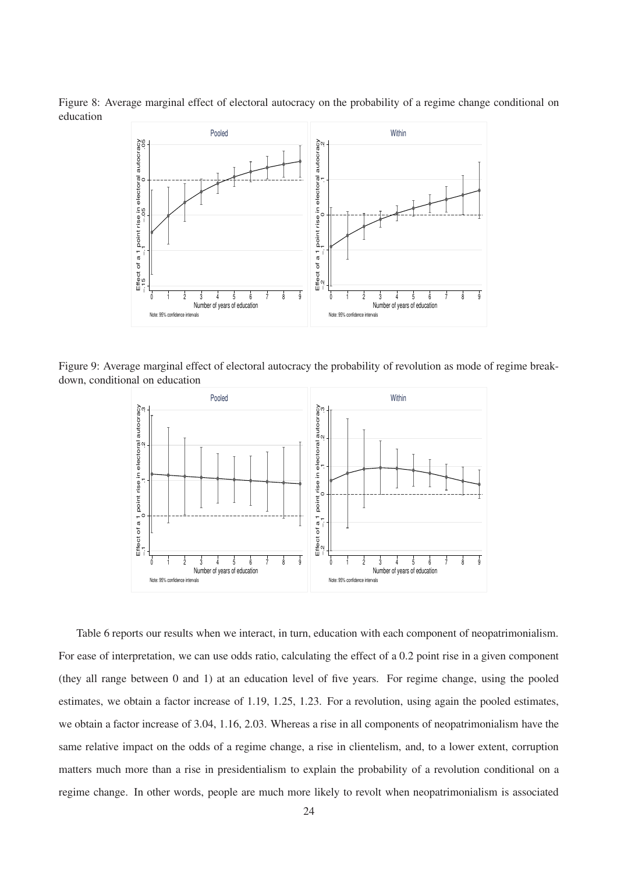Figure 8: Average marginal effect of electoral autocracy on the probability of a regime change conditional on education



Figure 9: Average marginal effect of electoral autocracy the probability of revolution as mode of regime breakdown, conditional on education



Table 6 reports our results when we interact, in turn, education with each component of neopatrimonialism. For ease of interpretation, we can use odds ratio, calculating the effect of a 0.2 point rise in a given component (they all range between 0 and 1) at an education level of five years. For regime change, using the pooled estimates, we obtain a factor increase of 1.19, 1.25, 1.23. For a revolution, using again the pooled estimates, we obtain a factor increase of 3.04, 1.16, 2.03. Whereas a rise in all components of neopatrimonialism have the same relative impact on the odds of a regime change, a rise in clientelism, and, to a lower extent, corruption matters much more than a rise in presidentialism to explain the probability of a revolution conditional on a regime change. In other words, people are much more likely to revolt when neopatrimonialism is associated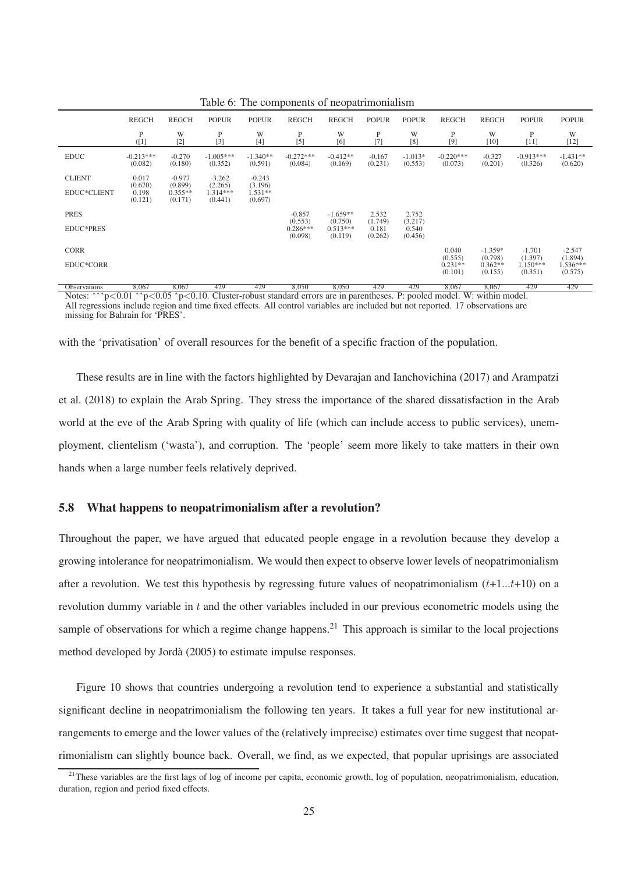|                     |                             |                                 |                                  |                                 | л.                               | L.                               |                             |                             |                                 |                                 |                                  |                                |
|---------------------|-----------------------------|---------------------------------|----------------------------------|---------------------------------|----------------------------------|----------------------------------|-----------------------------|-----------------------------|---------------------------------|---------------------------------|----------------------------------|--------------------------------|
|                     | <b>REGCH</b>                | <b>REGCH</b>                    | <b>POPUR</b>                     | <b>POPUR</b>                    | <b>REGCH</b>                     | <b>REGCH</b>                     | <b>POPUR</b>                | <b>POPUR</b>                | <b>REGCH</b>                    | <b>REGCH</b>                    | <b>POPUR</b>                     | <b>POPUR</b>                   |
|                     | P<br>(1]                    | W<br>$[2]$                      | P<br>$[3]$                       | W<br>$[4]$                      | P<br>$[5]$                       | W<br>[6]                         | P<br>$[7]$                  | W<br>[8]                    | P<br>[9]                        | W<br>$[10]$                     | P<br>[11]                        | W<br>$[12]$                    |
| <b>EDUC</b>         | $-0.213***$<br>(0.082)      | $-0.270$<br>(0.180)             | $-1.005***$<br>(0.352)           | $-1.340**$<br>(0.591)           | $-0.272***$<br>(0.084)           | $-0.412**$<br>(0.169)            | $-0.167$<br>(0.231)         | $-1.013*$<br>(0.553)        | $-0.220***$<br>(0.073)          | $-0.327$<br>(0.201)             | $-0.913***$<br>(0.326)           | $-1.431**$<br>(0.620)          |
| <b>CLIENT</b>       | 0.017                       | $-0.977$                        | $-3.262$                         | $-0.243$                        |                                  |                                  |                             |                             |                                 |                                 |                                  |                                |
| EDUC*CLIENT         | (0.670)<br>0.198<br>(0.121) | (0.899)<br>$0.355**$<br>(0.171) | (2.265)<br>$1.314***$<br>(0.441) | (3.196)<br>$1.531**$<br>(0.697) |                                  |                                  |                             |                             |                                 |                                 |                                  |                                |
| <b>PRES</b>         |                             |                                 |                                  |                                 | $-0.857$                         | $-1.659**$                       | 2.532                       | 2.752                       |                                 |                                 |                                  |                                |
| <b>EDUC*PRES</b>    |                             |                                 |                                  |                                 | (0.553)<br>$0.286***$<br>(0.098) | (0.750)<br>$0.513***$<br>(0.119) | (1.749)<br>0.181<br>(0.262) | (3.217)<br>0.540<br>(0.456) |                                 |                                 |                                  |                                |
| <b>CORR</b>         |                             |                                 |                                  |                                 |                                  |                                  |                             |                             | 0.040                           | $-1.359*$                       | $-1.701$                         | $-2.547$                       |
| EDUC*CORR           |                             |                                 |                                  |                                 |                                  |                                  |                             |                             | (0.555)<br>$0.231**$<br>(0.101) | (0.798)<br>$0.362**$<br>(0.155) | (1.397)<br>$1.150***$<br>(0.351) | (1.894)<br>1.536***<br>(0.575) |
| <b>Observations</b> | 8,067                       | 8,067                           | 429                              | 429                             | 8,050                            | 8,050                            | 429                         | 429                         | 8,067                           | 8,067                           | 429                              | 429                            |

Table 6: The components of neopatrimonialism

Notes: <sup>∗∗∗</sup>p<0.01 <sup>∗∗</sup>p<0.05 <sup>∗</sup>p<0.05 <sub>p</sub> ≥ 0.10. Cluster-robust standard errors are in parentheses. P: pooled model. W: within model. All regressions include region and time fixed effects. All control variables are included but not reported. 17 observations are missing for Bahrain for 'PRES'.

with the 'privatisation' of overall resources for the benefit of a specific fraction of the population.

These results are in line with the factors highlighted by Devarajan and Ianchovichina (2017) and Arampatzi et al. (2018) to explain the Arab Spring. They stress the importance of the shared dissatisfaction in the Arab world at the eve of the Arab Spring with quality of life (which can include access to public services), unemployment, clientelism ('wasta'), and corruption. The 'people' seem more likely to take matters in their own hands when a large number feels relatively deprived.

## **5.8 What happens to neopatrimonialism after a revolution?**

Throughout the paper, we have argued that educated people engage in a revolution because they develop a growing intolerance for neopatrimonialism. We would then expect to observe lower levels of neopatrimonialism after a revolution. We test this hypothesis by regressing future values of neopatrimonialism  $(t+1...t+10)$  on a revolution dummy variable in t and the other variables included in our previous econometric models using the sample of observations for which a regime change happens.<sup>21</sup> This approach is similar to the local projections method developed by Jordà (2005) to estimate impulse responses.

Figure 10 shows that countries undergoing a revolution tend to experience a substantial and statistically significant decline in neopatrimonialism the following ten years. It takes a full year for new institutional arrangements to emerge and the lower values of the (relatively imprecise) estimates over time suggest that neopatrimonialism can slightly bounce back. Overall, we find, as we expected, that popular uprisings are associated

<sup>&</sup>lt;sup>21</sup>These variables are the first lags of log of income per capita, economic growth, log of population, neopatrimonialism, education, duration, region and period fixed effects.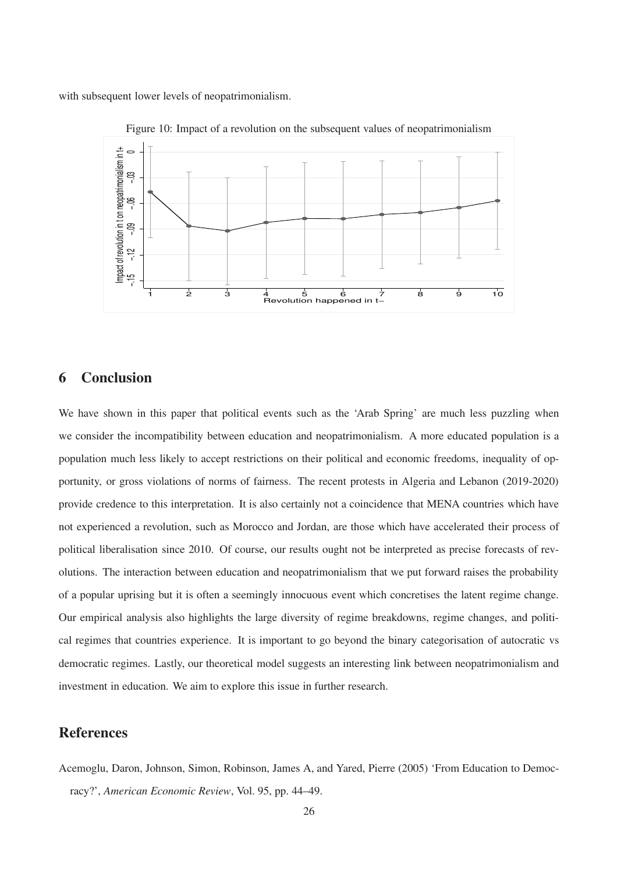with subsequent lower levels of neopatrimonialism.



Figure 10: Impact of a revolution on the subsequent values of neopatrimonialism

# **6 Conclusion**

We have shown in this paper that political events such as the 'Arab Spring' are much less puzzling when we consider the incompatibility between education and neopatrimonialism. A more educated population is a population much less likely to accept restrictions on their political and economic freedoms, inequality of opportunity, or gross violations of norms of fairness. The recent protests in Algeria and Lebanon (2019-2020) provide credence to this interpretation. It is also certainly not a coincidence that MENA countries which have not experienced a revolution, such as Morocco and Jordan, are those which have accelerated their process of political liberalisation since 2010. Of course, our results ought not be interpreted as precise forecasts of revolutions. The interaction between education and neopatrimonialism that we put forward raises the probability of a popular uprising but it is often a seemingly innocuous event which concretises the latent regime change. Our empirical analysis also highlights the large diversity of regime breakdowns, regime changes, and political regimes that countries experience. It is important to go beyond the binary categorisation of autocratic vs democratic regimes. Lastly, our theoretical model suggests an interesting link between neopatrimonialism and investment in education. We aim to explore this issue in further research.

# **References**

Acemoglu, Daron, Johnson, Simon, Robinson, James A, and Yared, Pierre (2005) 'From Education to Democracy?', *American Economic Review*, Vol. 95, pp. 44–49.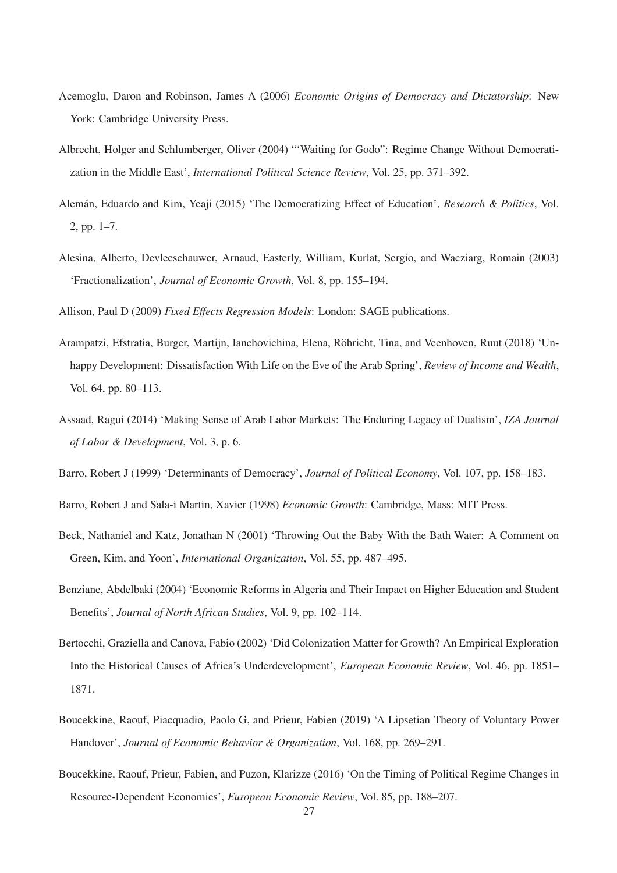- Acemoglu, Daron and Robinson, James A (2006) *Economic Origins of Democracy and Dictatorship*: New York: Cambridge University Press.
- Albrecht, Holger and Schlumberger, Oliver (2004) "'Waiting for Godo": Regime Change Without Democratization in the Middle East', *International Political Science Review*, Vol. 25, pp. 371–392.
- Alemán, Eduardo and Kim, Yeaji (2015) 'The Democratizing Effect of Education', *Research & Politics*, Vol. 2, pp. 1–7.
- Alesina, Alberto, Devleeschauwer, Arnaud, Easterly, William, Kurlat, Sergio, and Wacziarg, Romain (2003) 'Fractionalization', *Journal of Economic Growth*, Vol. 8, pp. 155–194.

Allison, Paul D (2009) *Fixed Effects Regression Models*: London: SAGE publications.

- Arampatzi, Efstratia, Burger, Martijn, Ianchovichina, Elena, Röhricht, Tina, and Veenhoven, Ruut (2018) 'Unhappy Development: Dissatisfaction With Life on the Eve of the Arab Spring', *Review of Income and Wealth*, Vol. 64, pp. 80–113.
- Assaad, Ragui (2014) 'Making Sense of Arab Labor Markets: The Enduring Legacy of Dualism', *IZA Journal of Labor & Development*, Vol. 3, p. 6.
- Barro, Robert J (1999) 'Determinants of Democracy', *Journal of Political Economy*, Vol. 107, pp. 158–183.
- Barro, Robert J and Sala-i Martin, Xavier (1998) *Economic Growth*: Cambridge, Mass: MIT Press.
- Beck, Nathaniel and Katz, Jonathan N (2001) 'Throwing Out the Baby With the Bath Water: A Comment on Green, Kim, and Yoon', *International Organization*, Vol. 55, pp. 487–495.
- Benziane, Abdelbaki (2004) 'Economic Reforms in Algeria and Their Impact on Higher Education and Student Benefits', *Journal of North African Studies*, Vol. 9, pp. 102–114.
- Bertocchi, Graziella and Canova, Fabio (2002) 'Did Colonization Matter for Growth? An Empirical Exploration Into the Historical Causes of Africa's Underdevelopment', *European Economic Review*, Vol. 46, pp. 1851– 1871.
- Boucekkine, Raouf, Piacquadio, Paolo G, and Prieur, Fabien (2019) 'A Lipsetian Theory of Voluntary Power Handover', *Journal of Economic Behavior & Organization*, Vol. 168, pp. 269–291.
- Boucekkine, Raouf, Prieur, Fabien, and Puzon, Klarizze (2016) 'On the Timing of Political Regime Changes in Resource-Dependent Economies', *European Economic Review*, Vol. 85, pp. 188–207.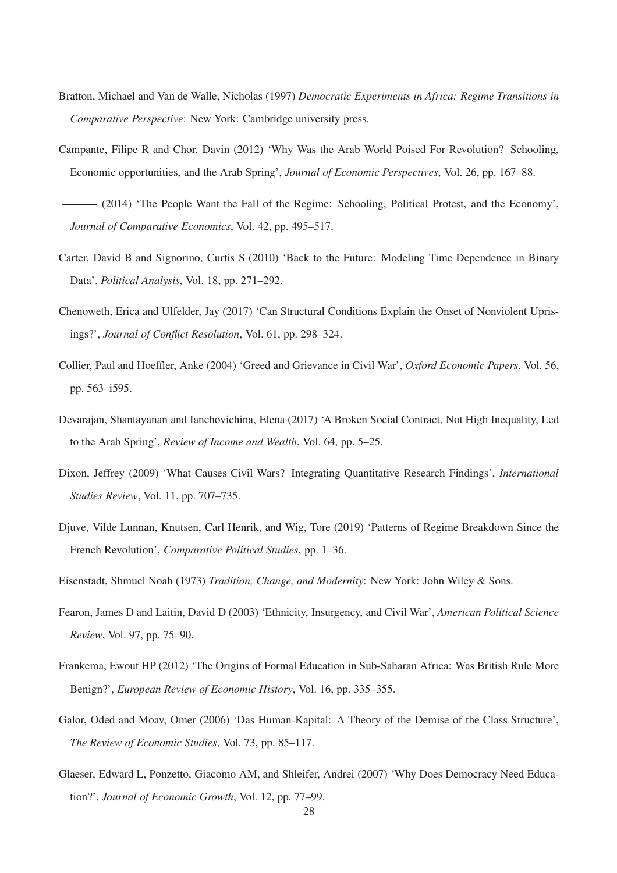- Bratton, Michael and Van de Walle, Nicholas (1997) *Democratic Experiments in Africa: Regime Transitions in Comparative Perspective*: New York: Cambridge university press.
- Campante, Filipe R and Chor, Davin (2012) 'Why Was the Arab World Poised For Revolution? Schooling, Economic opportunities, and the Arab Spring', *Journal of Economic Perspectives*, Vol. 26, pp. 167–88.
- (2014) 'The People Want the Fall of the Regime: Schooling, Political Protest, and the Economy', *Journal of Comparative Economics*, Vol. 42, pp. 495–517.
- Carter, David B and Signorino, Curtis S (2010) 'Back to the Future: Modeling Time Dependence in Binary Data', *Political Analysis*, Vol. 18, pp. 271–292.
- Chenoweth, Erica and Ulfelder, Jay (2017) 'Can Structural Conditions Explain the Onset of Nonviolent Uprisings?', *Journal of Conflict Resolution*, Vol. 61, pp. 298–324.
- Collier, Paul and Hoeffler, Anke (2004) 'Greed and Grievance in Civil War', *Oxford Economic Papers*, Vol. 56, pp. 563–i595.
- Devarajan, Shantayanan and Ianchovichina, Elena (2017) 'A Broken Social Contract, Not High Inequality, Led to the Arab Spring', *Review of Income and Wealth*, Vol. 64, pp. 5–25.
- Dixon, Jeffrey (2009) 'What Causes Civil Wars? Integrating Quantitative Research Findings', *International Studies Review*, Vol. 11, pp. 707–735.
- Djuve, Vilde Lunnan, Knutsen, Carl Henrik, and Wig, Tore (2019) 'Patterns of Regime Breakdown Since the French Revolution', *Comparative Political Studies*, pp. 1–36.
- Eisenstadt, Shmuel Noah (1973) *Tradition, Change, and Modernity*: New York: John Wiley & Sons.
- Fearon, James D and Laitin, David D (2003) 'Ethnicity, Insurgency, and Civil War', *American Political Science Review*, Vol. 97, pp. 75–90.
- Frankema, Ewout HP (2012) 'The Origins of Formal Education in Sub-Saharan Africa: Was British Rule More Benign?', *European Review of Economic History*, Vol. 16, pp. 335–355.
- Galor, Oded and Moav, Omer (2006) 'Das Human-Kapital: A Theory of the Demise of the Class Structure', *The Review of Economic Studies*, Vol. 73, pp. 85–117.
- Glaeser, Edward L, Ponzetto, Giacomo AM, and Shleifer, Andrei (2007) 'Why Does Democracy Need Education?', *Journal of Economic Growth*, Vol. 12, pp. 77–99.